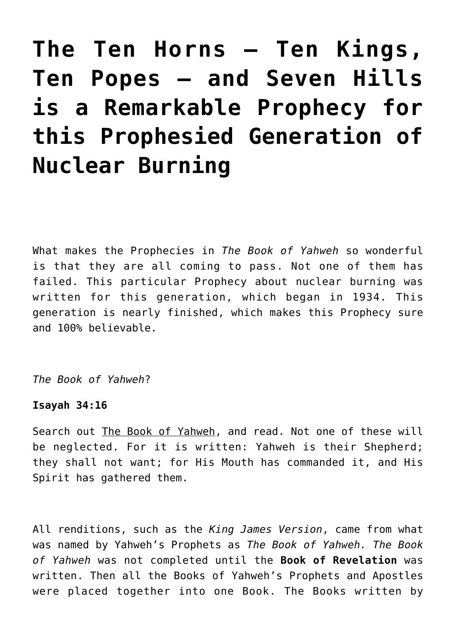# **[The Ten Horns – Ten Kings,](https://yahwehsbranch.com/the-ten-horns-ten-kings-ten-popes-and-seven-hills-is-a-remarkable-prophecy-for-this-prophesied-generation-of-nuclear-burning/) [Ten Popes – and Seven Hills](https://yahwehsbranch.com/the-ten-horns-ten-kings-ten-popes-and-seven-hills-is-a-remarkable-prophecy-for-this-prophesied-generation-of-nuclear-burning/) [is a Remarkable Prophecy for](https://yahwehsbranch.com/the-ten-horns-ten-kings-ten-popes-and-seven-hills-is-a-remarkable-prophecy-for-this-prophesied-generation-of-nuclear-burning/) [this Prophesied Generation of](https://yahwehsbranch.com/the-ten-horns-ten-kings-ten-popes-and-seven-hills-is-a-remarkable-prophecy-for-this-prophesied-generation-of-nuclear-burning/) [Nuclear Burning](https://yahwehsbranch.com/the-ten-horns-ten-kings-ten-popes-and-seven-hills-is-a-remarkable-prophecy-for-this-prophesied-generation-of-nuclear-burning/)**

What makes the Prophecies in *The Book of Yahweh* so wonderful is that they are all coming to pass. Not one of them has failed. This particular Prophecy about nuclear burning was written for this generation, which began in 1934. This generation is nearly finished, which makes this Prophecy sure and 100% believable.

*The Book of Yahweh*?

# **Isayah 34:16**

Search out The Book of Yahweh, and read. Not one of these will be neglected. For it is written: Yahweh is their Shepherd; they shall not want; for His Mouth has commanded it, and His Spirit has gathered them.

All renditions, such as the *King James Version*, came from what was named by Yahweh's Prophets as *The Book of Yahweh. The Book of Yahweh* was not completed until the **Book of Revelation** was written. Then all the Books of Yahweh's Prophets and Apostles were placed together into one Book. The Books written by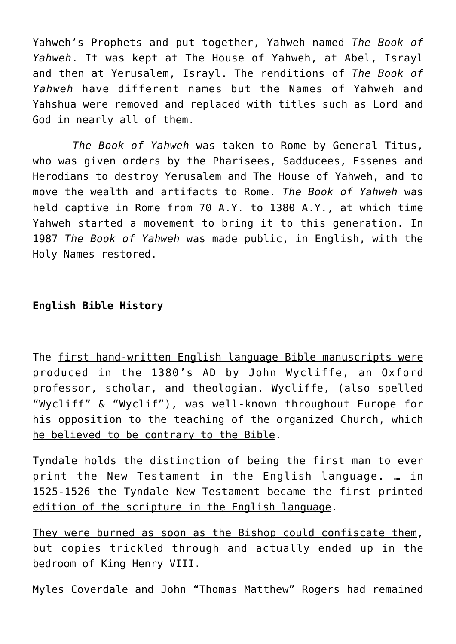Yahweh's Prophets and put together, Yahweh named *The Book of Yahweh*. It was kept at The House of Yahweh, at Abel, Israyl and then at Yerusalem, Israyl. The renditions of *The Book of Yahweh* have different names but the Names of Yahweh and Yahshua were removed and replaced with titles such as Lord and God in nearly all of them.

 *The Book of Yahweh* was taken to Rome by General Titus, who was given orders by the Pharisees, Sadducees, Essenes and Herodians to destroy Yerusalem and The House of Yahweh, and to move the wealth and artifacts to Rome. *The Book of Yahweh* was held captive in Rome from 70 A.Y. to 1380 A.Y., at which time Yahweh started a movement to bring it to this generation. In 1987 *The Book of Yahweh* was made public, in English, with the Holy Names restored.

# **English Bible History**

The first hand-written English language Bible manuscripts were produced in the 1380's AD by John Wycliffe, an Oxford professor, scholar, and theologian. Wycliffe, (also spelled "Wycliff" & "Wyclif"), was well-known throughout Europe for his opposition to the teaching of the organized Church, which he believed to be contrary to the Bible.

Tyndale holds the distinction of being the first man to ever print the New Testament in the English language. … in 1525-1526 the Tyndale New Testament became the first printed edition of the scripture in the English language.

They were burned as soon as the Bishop could confiscate them, but copies trickled through and actually ended up in the bedroom of King Henry VIII.

Myles Coverdale and John "Thomas Matthew" Rogers had remained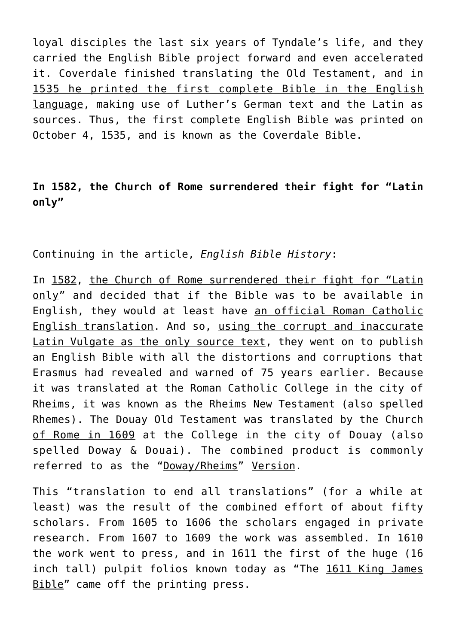loyal disciples the last six years of Tyndale's life, and they carried the English Bible project forward and even accelerated it. Coverdale finished translating the Old Testament, and in 1535 he printed the first complete Bible in the English language, making use of Luther's German text and the Latin as sources. Thus, the first complete English Bible was printed on October 4, 1535, and is known as the Coverdale Bible.

# **In 1582, the Church of Rome surrendered their fight for "Latin only"**

Continuing in the article, *English Bible History*:

In 1582, the Church of Rome surrendered their fight for "Latin only" and decided that if the Bible was to be available in English, they would at least have an official Roman Catholic English translation. And so, using the corrupt and inaccurate Latin Vulgate as the only source text, they went on to publish an English Bible with all the distortions and corruptions that Erasmus had revealed and warned of 75 years earlier. Because it was translated at the Roman Catholic College in the city of Rheims, it was known as the Rheims New Testament (also spelled Rhemes). The Douay Old Testament was translated by the Church of Rome in 1609 at the College in the city of Douay (also spelled Doway & Douai). The combined product is commonly referred to as the "Doway/Rheims" Version.

This "translation to end all translations" (for a while at least) was the result of the combined effort of about fifty scholars. From 1605 to 1606 the scholars engaged in private research. From 1607 to 1609 the work was assembled. In 1610 the work went to press, and in 1611 the first of the huge (16 inch tall) pulpit folios known today as "The 1611 King James Bible" came off the printing press.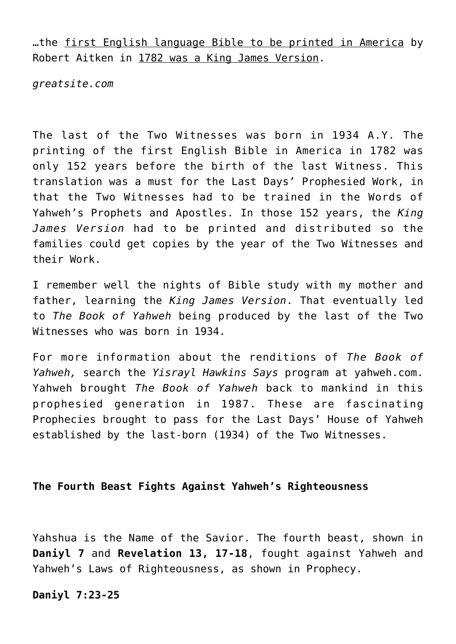…the first English language Bible to be printed in America by Robert Aitken in 1782 was a King James Version.

*greatsite.com*

The last of the Two Witnesses was born in 1934 A.Y. The printing of the first English Bible in America in 1782 was only 152 years before the birth of the last Witness. This translation was a must for the Last Days' Prophesied Work, in that the Two Witnesses had to be trained in the Words of Yahweh's Prophets and Apostles. In those 152 years, the *King James Version* had to be printed and distributed so the families could get copies by the year of the Two Witnesses and their Work.

I remember well the nights of Bible study with my mother and father, learning the *King James Version*. That eventually led to *The Book of Yahweh* being produced by the last of the Two Witnesses who was born in 1934.

For more information about the renditions of *The Book of Yahweh,* search the *Yisrayl Hawkins Says* program at yahweh.com. Yahweh brought *The Book of Yahweh* back to mankind in this prophesied generation in 1987. These are fascinating Prophecies brought to pass for the Last Days' House of Yahweh established by the last-born (1934) of the Two Witnesses.

# **The Fourth Beast Fights Against Yahweh's Righteousness**

Yahshua is the Name of the Savior. The fourth beast, shown in **Daniyl 7** and **Revelation 13, 17-18**, fought against Yahweh and Yahweh's Laws of Righteousness, as shown in Prophecy.

**Daniyl 7:23-25**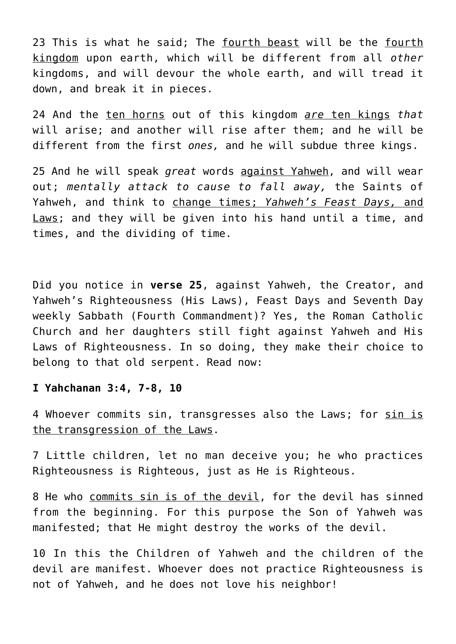23 This is what he said; The fourth beast will be the fourth kingdom upon earth, which will be different from all *other* kingdoms, and will devour the whole earth, and will tread it down, and break it in pieces.

24 And the ten horns out of this kingdom *are* ten kings *that* will arise; and another will rise after them; and he will be different from the first *ones,* and he will subdue three kings.

25 And he will speak *great* words against Yahweh, and will wear out; *mentally attack to cause to fall away,* the Saints of Yahweh, and think to change times; *Yahweh's Feast Days,* and Laws; and they will be given into his hand until a time, and times, and the dividing of time.

Did you notice in **verse 25**, against Yahweh, the Creator, and Yahweh's Righteousness (His Laws), Feast Days and Seventh Day weekly Sabbath (Fourth Commandment)? Yes, the Roman Catholic Church and her daughters still fight against Yahweh and His Laws of Righteousness. In so doing, they make their choice to belong to that old serpent. Read now:

#### **I Yahchanan 3:4, 7-8, 10**

4 Whoever commits sin, transgresses also the Laws; for sin is the transgression of the Laws.

7 Little children, let no man deceive you; he who practices Righteousness is Righteous, just as He is Righteous.

8 He who commits sin is of the devil, for the devil has sinned from the beginning. For this purpose the Son of Yahweh was manifested; that He might destroy the works of the devil.

10 In this the Children of Yahweh and the children of the devil are manifest. Whoever does not practice Righteousness is not of Yahweh, and he does not love his neighbor!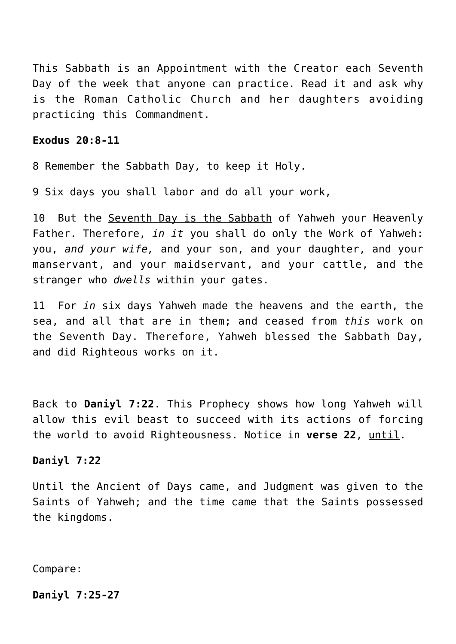This Sabbath is an Appointment with the Creator each Seventh Day of the week that anyone can practice. Read it and ask why is the Roman Catholic Church and her daughters avoiding practicing this Commandment.

## **Exodus 20:8-11**

8 Remember the Sabbath Day, to keep it Holy.

9 Six days you shall labor and do all your work,

10 But the Seventh Day is the Sabbath of Yahweh your Heavenly Father. Therefore, *in it* you shall do only the Work of Yahweh: you, *and your wife,* and your son, and your daughter, and your manservant, and your maidservant, and your cattle, and the stranger who *dwells* within your gates.

11 For *in* six days Yahweh made the heavens and the earth, the sea, and all that are in them; and ceased from *this* work on the Seventh Day. Therefore, Yahweh blessed the Sabbath Day, and did Righteous works on it.

Back to **Daniyl 7:22**. This Prophecy shows how long Yahweh will allow this evil beast to succeed with its actions of forcing the world to avoid Righteousness. Notice in **verse 22**, until.

## **Daniyl 7:22**

Until the Ancient of Days came, and Judgment was given to the Saints of Yahweh; and the time came that the Saints possessed the kingdoms.

Compare:

**Daniyl 7:25-27**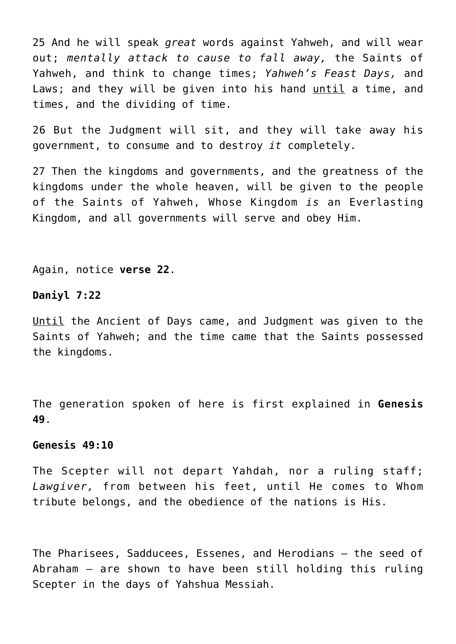25 And he will speak *great* words against Yahweh, and will wear out; *mentally attack to cause to fall away,* the Saints of Yahweh, and think to change times; *Yahweh's Feast Days,* and Laws; and they will be given into his hand until a time, and times, and the dividing of time.

26 But the Judgment will sit, and they will take away his government, to consume and to destroy *it* completely.

27 Then the kingdoms and governments, and the greatness of the kingdoms under the whole heaven, will be given to the people of the Saints of Yahweh, Whose Kingdom *is* an Everlasting Kingdom, and all governments will serve and obey Him.

Again, notice **verse 22**.

#### **Daniyl 7:22**

Until the Ancient of Days came, and Judgment was given to the Saints of Yahweh; and the time came that the Saints possessed the kingdoms.

The generation spoken of here is first explained in **Genesis 49**.

#### **Genesis 49:10**

The Scepter will not depart Yahdah, nor a ruling staff; *Lawgiver,* from between his feet, until He comes to Whom tribute belongs, and the obedience of the nations is His.

The Pharisees, Sadducees, Essenes, and Herodians – the seed of Abraham – are shown to have been still holding this ruling Scepter in the days of Yahshua Messiah.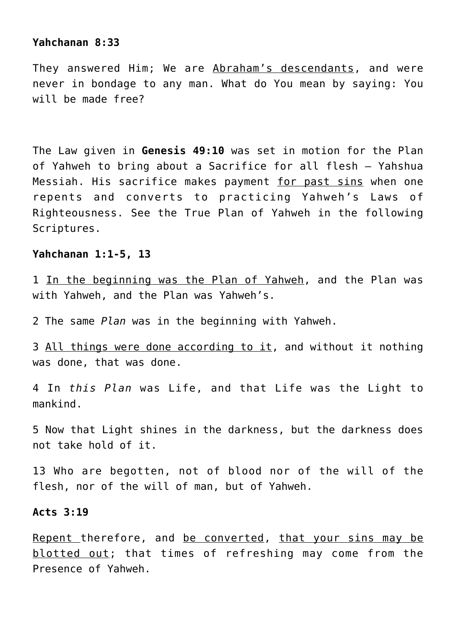### **Yahchanan 8:33**

They answered Him; We are Abraham's descendants, and were never in bondage to any man. What do You mean by saying: You will be made free?

The Law given in **Genesis 49:10** was set in motion for the Plan of Yahweh to bring about a Sacrifice for all flesh – Yahshua Messiah. His sacrifice makes payment for past sins when one repents and converts to practicing Yahweh's Laws of Righteousness. See the True Plan of Yahweh in the following Scriptures.

#### **Yahchanan 1:1-5, 13**

1 In the beginning was the Plan of Yahweh, and the Plan was with Yahweh, and the Plan was Yahweh's.

2 The same *Plan* was in the beginning with Yahweh.

3 All things were done according to it, and without it nothing was done, that was done.

4 In *this Plan* was Life, and that Life was the Light to mankind.

5 Now that Light shines in the darkness, but the darkness does not take hold of it.

13 Who are begotten, not of blood nor of the will of the flesh, nor of the will of man, but of Yahweh.

## **Acts 3:19**

Repent therefore, and be converted, that your sins may be blotted out; that times of refreshing may come from the Presence of Yahweh.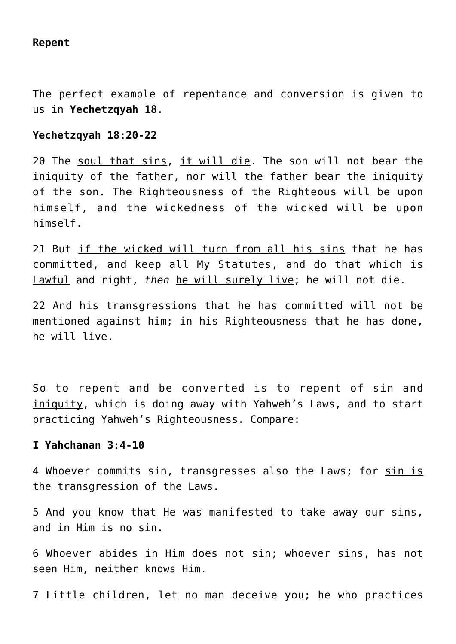## **Repent**

The perfect example of repentance and conversion is given to us in **Yechetzqyah 18**.

## **Yechetzqyah 18:20-22**

20 The soul that sins, it will die. The son will not bear the iniquity of the father, nor will the father bear the iniquity of the son. The Righteousness of the Righteous will be upon himself, and the wickedness of the wicked will be upon himself.

21 But if the wicked will turn from all his sins that he has committed, and keep all My Statutes, and do that which is Lawful and right, *then* he will surely live; he will not die.

22 And his transgressions that he has committed will not be mentioned against him; in his Righteousness that he has done, he will live.

So to repent and be converted is to repent of sin and iniquity, which is doing away with Yahweh's Laws, and to start practicing Yahweh's Righteousness. Compare:

## **I Yahchanan 3:4-10**

4 Whoever commits sin, transgresses also the Laws; for sin is the transgression of the Laws.

5 And you know that He was manifested to take away our sins, and in Him is no sin.

6 Whoever abides in Him does not sin; whoever sins, has not seen Him, neither knows Him.

7 Little children, let no man deceive you; he who practices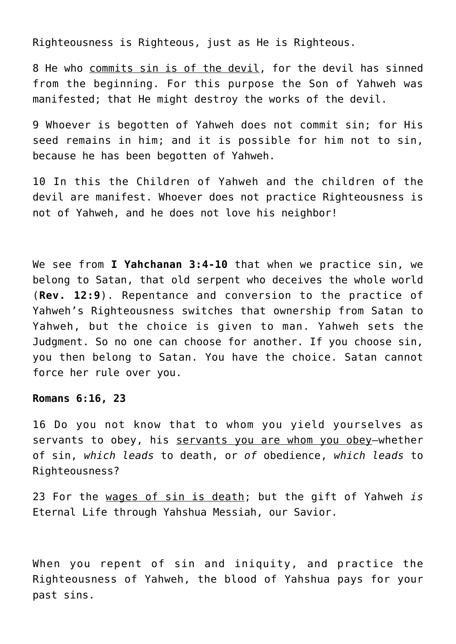Righteousness is Righteous, just as He is Righteous.

8 He who commits sin is of the devil, for the devil has sinned from the beginning. For this purpose the Son of Yahweh was manifested; that He might destroy the works of the devil.

9 Whoever is begotten of Yahweh does not commit sin; for His seed remains in him; and it is possible for him not to sin, because he has been begotten of Yahweh.

10 In this the Children of Yahweh and the children of the devil are manifest. Whoever does not practice Righteousness is not of Yahweh, and he does not love his neighbor!

We see from **I Yahchanan 3:4-10** that when we practice sin, we belong to Satan, that old serpent who deceives the whole world (**Rev. 12:9**). Repentance and conversion to the practice of Yahweh's Righteousness switches that ownership from Satan to Yahweh, but the choice is given to man. Yahweh sets the Judgment. So no one can choose for another. If you choose sin, you then belong to Satan. You have the choice. Satan cannot force her rule over you.

#### **Romans 6:16, 23**

16 Do you not know that to whom you yield yourselves as servants to obey, his servants you are whom you obey-whether of sin, *which leads* to death, or *of* obedience, *which leads* to Righteousness?

23 For the wages of sin is death; but the gift of Yahweh *is* Eternal Life through Yahshua Messiah, our Savior.

When you repent of sin and iniquity, and practice the Righteousness of Yahweh, the blood of Yahshua pays for your past sins.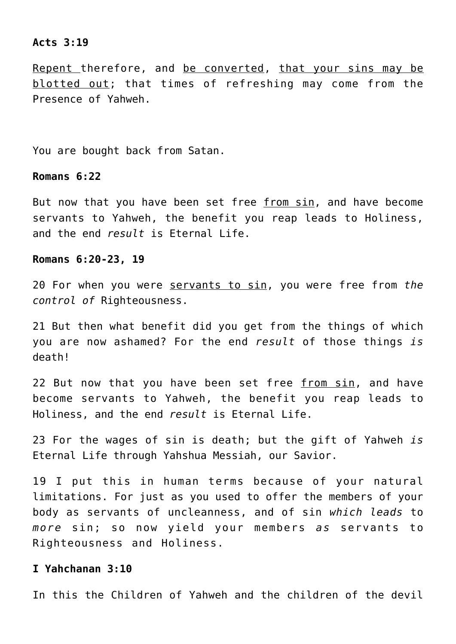#### **Acts 3:19**

Repent therefore, and be converted, that your sins may be blotted out; that times of refreshing may come from the Presence of Yahweh.

You are bought back from Satan.

#### **Romans 6:22**

But now that you have been set free from sin, and have become servants to Yahweh, the benefit you reap leads to Holiness, and the end *result* is Eternal Life.

#### **Romans 6:20-23, 19**

20 For when you were servants to sin, you were free from *the control of* Righteousness.

21 But then what benefit did you get from the things of which you are now ashamed? For the end *result* of those things *is* death!

22 But now that you have been set free from sin, and have become servants to Yahweh, the benefit you reap leads to Holiness, and the end *result* is Eternal Life.

23 For the wages of sin is death; but the gift of Yahweh *is* Eternal Life through Yahshua Messiah, our Savior.

19 I put this in human terms because of your natural limitations. For just as you used to offer the members of your body as servants of uncleanness, and of sin *which leads* to *more* sin; so now yield your members *as* servants to Righteousness and Holiness.

# **I Yahchanan 3:10**

In this the Children of Yahweh and the children of the devil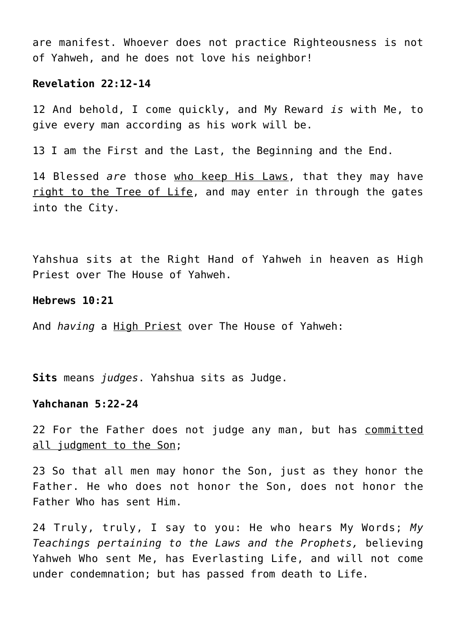are manifest. Whoever does not practice Righteousness is not of Yahweh, and he does not love his neighbor!

## **Revelation 22:12-14**

12 And behold, I come quickly, and My Reward *is* with Me, to give every man according as his work will be.

13 I am the First and the Last, the Beginning and the End.

14 Blessed *are* those who keep His Laws, that they may have right to the Tree of Life, and may enter in through the gates into the City.

Yahshua sits at the Right Hand of Yahweh in heaven as High Priest over The House of Yahweh.

## **Hebrews 10:21**

And *having* a High Priest over The House of Yahweh:

**Sits** means *judges*. Yahshua sits as Judge.

## **Yahchanan 5:22-24**

22 For the Father does not judge any man, but has committed all judgment to the Son;

23 So that all men may honor the Son, just as they honor the Father. He who does not honor the Son, does not honor the Father Who has sent Him.

24 Truly, truly, I say to you: He who hears My Words; *My Teachings pertaining to the Laws and the Prophets,* believing Yahweh Who sent Me, has Everlasting Life, and will not come under condemnation; but has passed from death to Life.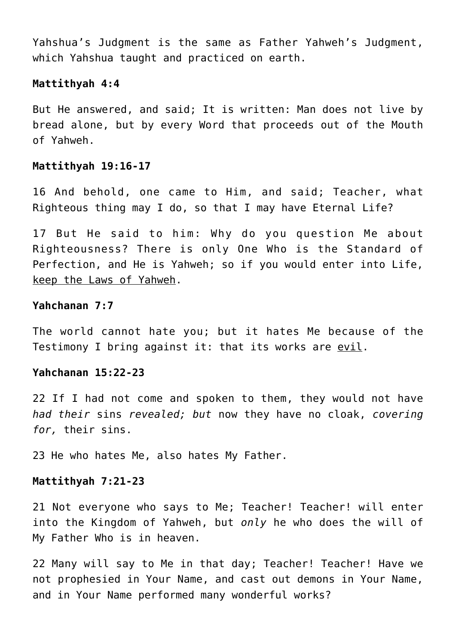Yahshua's Judgment is the same as Father Yahweh's Judgment, which Yahshua taught and practiced on earth.

#### **Mattithyah 4:4**

But He answered, and said; It is written: Man does not live by bread alone, but by every Word that proceeds out of the Mouth of Yahweh.

#### **Mattithyah 19:16-17**

16 And behold, one came to Him, and said; Teacher, what Righteous thing may I do, so that I may have Eternal Life?

17 But He said to him: Why do you question Me about Righteousness? There is only One Who is the Standard of Perfection, and He is Yahweh; so if you would enter into Life, keep the Laws of Yahweh.

## **Yahchanan 7:7**

The world cannot hate you; but it hates Me because of the Testimony I bring against it: that its works are evil.

## **Yahchanan 15:22-23**

22 If I had not come and spoken to them, they would not have *had their* sins *revealed; but* now they have no cloak, *covering for,* their sins.

23 He who hates Me, also hates My Father.

#### **Mattithyah 7:21-23**

21 Not everyone who says to Me; Teacher! Teacher! will enter into the Kingdom of Yahweh, but *only* he who does the will of My Father Who is in heaven.

22 Many will say to Me in that day; Teacher! Teacher! Have we not prophesied in Your Name, and cast out demons in Your Name, and in Your Name performed many wonderful works?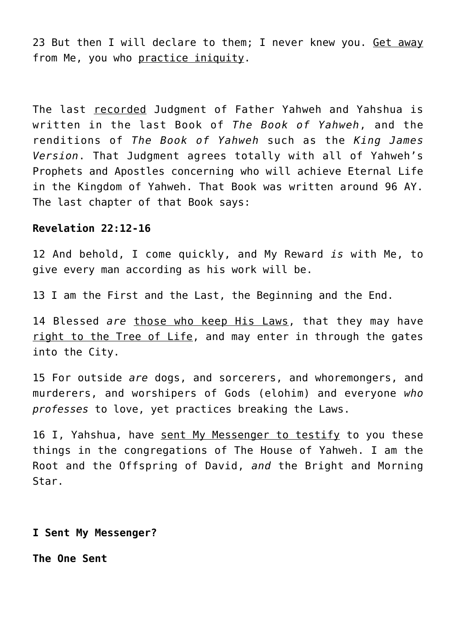23 But then I will declare to them; I never knew you. Get away from Me, you who practice iniquity.

The last recorded Judgment of Father Yahweh and Yahshua is written in the last Book of *The Book of Yahweh*, and the renditions of *The Book of Yahweh* such as the *King James Version*. That Judgment agrees totally with all of Yahweh's Prophets and Apostles concerning who will achieve Eternal Life in the Kingdom of Yahweh. That Book was written around 96 AY. The last chapter of that Book says:

## **Revelation 22:12-16**

12 And behold, I come quickly, and My Reward *is* with Me, to give every man according as his work will be.

13 I am the First and the Last, the Beginning and the End.

14 Blessed *are* those who keep His Laws, that they may have right to the Tree of Life, and may enter in through the gates into the City.

15 For outside *are* dogs, and sorcerers, and whoremongers, and murderers, and worshipers of Gods (elohim) and everyone *who professes* to love, yet practices breaking the Laws.

16 I, Yahshua, have sent My Messenger to testify to you these things in the congregations of The House of Yahweh. I am the Root and the Offspring of David, *and* the Bright and Morning Star.

**I Sent My Messenger?**

**The One Sent**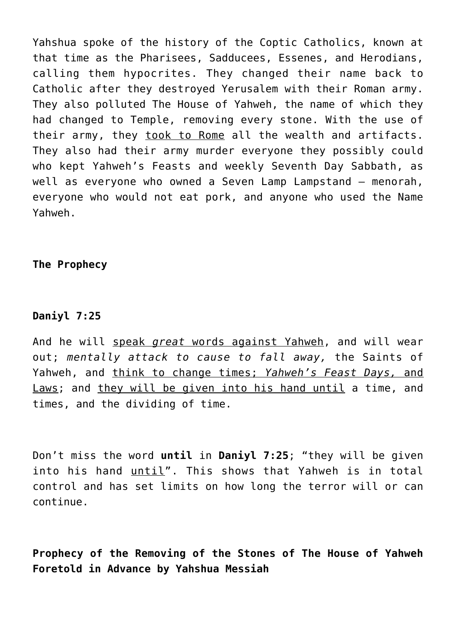Yahshua spoke of the history of the Coptic Catholics, known at that time as the Pharisees, Sadducees, Essenes, and Herodians, calling them hypocrites. They changed their name back to Catholic after they destroyed Yerusalem with their Roman army. They also polluted The House of Yahweh, the name of which they had changed to Temple, removing every stone. With the use of their army, they took to Rome all the wealth and artifacts. They also had their army murder everyone they possibly could who kept Yahweh's Feasts and weekly Seventh Day Sabbath, as well as everyone who owned a Seven Lamp Lampstand – menorah, everyone who would not eat pork, and anyone who used the Name Yahweh.

**The Prophecy**

# **Daniyl 7:25**

And he will speak *great* words against Yahweh, and will wear out; *mentally attack to cause to fall away,* the Saints of Yahweh, and think to change times; *Yahweh's Feast Days,* and Laws; and they will be given into his hand until a time, and times, and the dividing of time.

Don't miss the word **until** in **Daniyl 7:25**; "they will be given into his hand until". This shows that Yahweh is in total control and has set limits on how long the terror will or can continue.

**Prophecy of the Removing of the Stones of The House of Yahweh Foretold in Advance by Yahshua Messiah**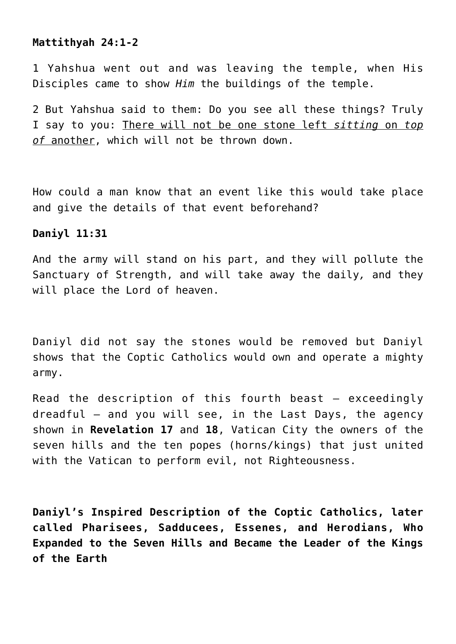## **Mattithyah 24:1-2**

1 Yahshua went out and was leaving the temple, when His Disciples came to show *Him* the buildings of the temple.

2 But Yahshua said to them: Do you see all these things? Truly I say to you: There will not be one stone left *sitting* on *top of* another, which will not be thrown down.

How could a man know that an event like this would take place and give the details of that event beforehand?

## **Daniyl 11:31**

And the army will stand on his part, and they will pollute the Sanctuary of Strength, and will take away the daily*,* and they will place the Lord of heaven.

Daniyl did not say the stones would be removed but Daniyl shows that the Coptic Catholics would own and operate a mighty army.

Read the description of this fourth beast  $-$  exceedingly dreadful – and you will see, in the Last Days, the agency shown in **Revelation 17** and **18**, Vatican City the owners of the seven hills and the ten popes (horns/kings) that just united with the Vatican to perform evil, not Righteousness.

**Daniyl's Inspired Description of the Coptic Catholics, later called Pharisees, Sadducees, Essenes, and Herodians, Who Expanded to the Seven Hills and Became the Leader of the Kings of the Earth**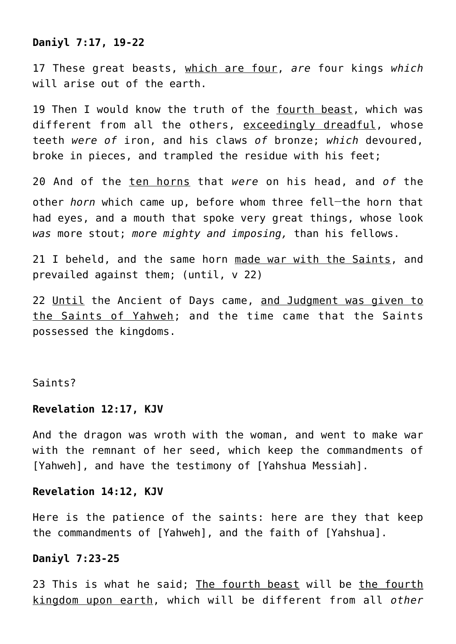## **Daniyl 7:17, 19-22**

17 These great beasts, which are four, *are* four kings *which* will arise out of the earth.

19 Then I would know the truth of the fourth beast, which was different from all the others, exceedingly dreadful, whose teeth *were of* iron, and his claws *of* bronze; *which* devoured, broke in pieces, and trampled the residue with his feet;

20 And of the ten horns that *were* on his head, and *of* the other *horn* which came up, before whom three fell**\_\_**the horn that had eyes, and a mouth that spoke very great things, whose look *was* more stout; *more mighty and imposing,* than his fellows.

21 I beheld, and the same horn made war with the Saints, and prevailed against them; (until, v 22)

22 Until the Ancient of Days came, and Judgment was given to the Saints of Yahweh; and the time came that the Saints possessed the kingdoms.

## Saints?

#### **Revelation 12:17, KJV**

And the dragon was wroth with the woman, and went to make war with the remnant of her seed, which keep the commandments of [Yahweh], and have the testimony of [Yahshua Messiah].

#### **Revelation 14:12, KJV**

Here is the patience of the saints: here are they that keep the commandments of [Yahweh], and the faith of [Yahshua].

#### **Daniyl 7:23-25**

23 This is what he said; The fourth beast will be the fourth kingdom upon earth, which will be different from all *other*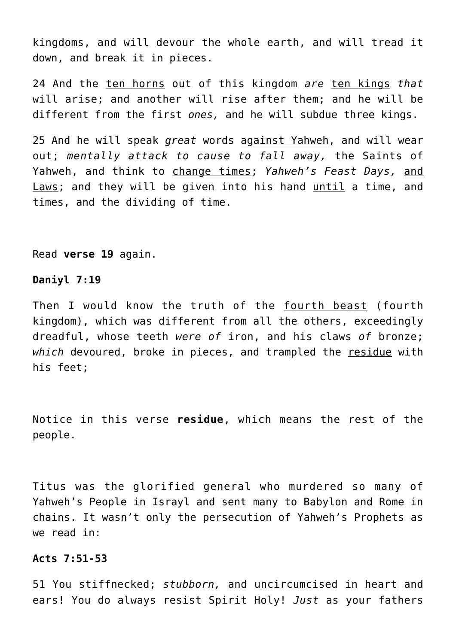kingdoms, and will devour the whole earth, and will tread it down, and break it in pieces.

24 And the ten horns out of this kingdom *are* ten kings *that* will arise; and another will rise after them; and he will be different from the first *ones,* and he will subdue three kings.

25 And he will speak *great* words against Yahweh, and will wear out; *mentally attack to cause to fall away,* the Saints of Yahweh, and think to change times; *Yahweh's Feast Days,* and Laws; and they will be given into his hand until a time, and times, and the dividing of time.

Read **verse 19** again.

## **Daniyl 7:19**

Then I would know the truth of the fourth beast (fourth kingdom), which was different from all the others, exceedingly dreadful, whose teeth *were of* iron, and his claws *of* bronze; *which* devoured, broke in pieces, and trampled the residue with his feet;

Notice in this verse **residue**, which means the rest of the people.

Titus was the glorified general who murdered so many of Yahweh's People in Israyl and sent many to Babylon and Rome in chains. It wasn't only the persecution of Yahweh's Prophets as we read in:

#### **Acts 7:51-53**

51 You stiffnecked; *stubborn,* and uncircumcised in heart and ears! You do always resist Spirit Holy! *Just* as your fathers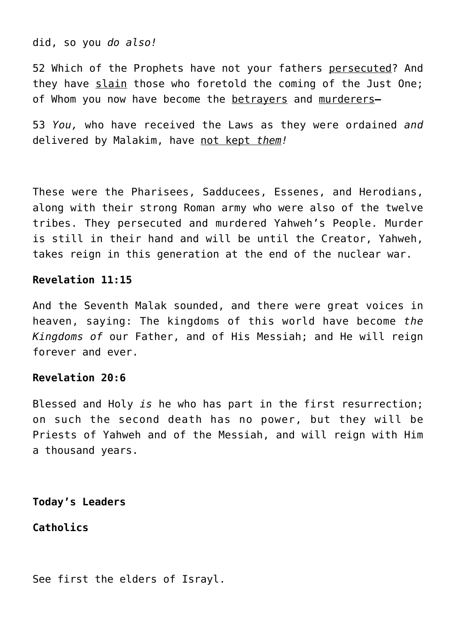did, so you *do also!*

52 Which of the Prophets have not your fathers persecuted? And they have slain those who foretold the coming of the Just One; of Whom you now have become the betrayers and murderers**—**

53 *You,* who have received the Laws as they were ordained *and* delivered by Malakim, have not kept *them!*

These were the Pharisees, Sadducees, Essenes, and Herodians, along with their strong Roman army who were also of the twelve tribes. They persecuted and murdered Yahweh's People. Murder is still in their hand and will be until the Creator, Yahweh, takes reign in this generation at the end of the nuclear war.

## **Revelation 11:15**

And the Seventh Malak sounded, and there were great voices in heaven, saying: The kingdoms of this world have become *the Kingdoms of* our Father, and of His Messiah; and He will reign forever and ever.

## **Revelation 20:6**

Blessed and Holy *is* he who has part in the first resurrection; on such the second death has no power, but they will be Priests of Yahweh and of the Messiah, and will reign with Him a thousand years.

**Today's Leaders**

**Catholics**

See first the elders of Israyl.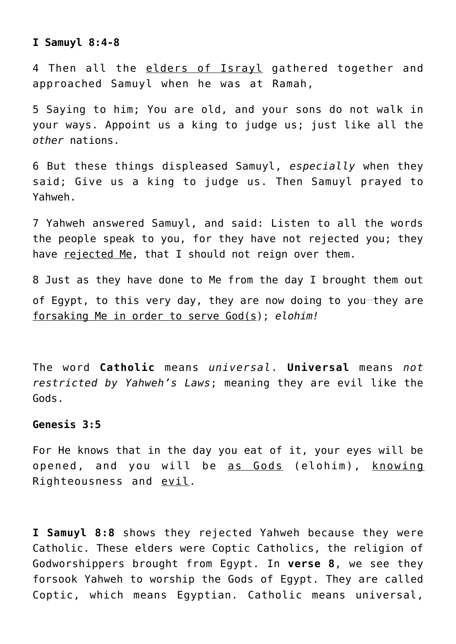#### **I Samuyl 8:4-8**

4 Then all the elders of Israyl gathered together and approached Samuyl when he was at Ramah,

5 Saying to him; You are old, and your sons do not walk in your ways. Appoint us a king to judge us; just like all the *other* nations.

6 But these things displeased Samuyl, *especially* when they said; Give us a king to judge us. Then Samuyl prayed to Yahweh.

7 Yahweh answered Samuyl, and said: Listen to all the words the people speak to you, for they have not rejected you; they have rejected Me, that I should not reign over them.

8 Just as they have done to Me from the day I brought them out of Egypt, to this very day, they are now doing to you-they are forsaking Me in order to serve God(s); *elohim!*

The word **Catholic** means *universal*. **Universal** means *not restricted by Yahweh's Laws*; meaning they are evil like the Gods.

#### **Genesis 3:5**

For He knows that in the day you eat of it, your eyes will be opened, and you will be as Gods (elohim), knowing Righteousness and evil.

**I Samuyl 8:8** shows they rejected Yahweh because they were Catholic. These elders were Coptic Catholics, the religion of Godworshippers brought from Egypt. In **verse 8**, we see they forsook Yahweh to worship the Gods of Egypt. They are called Coptic, which means Egyptian. Catholic means universal,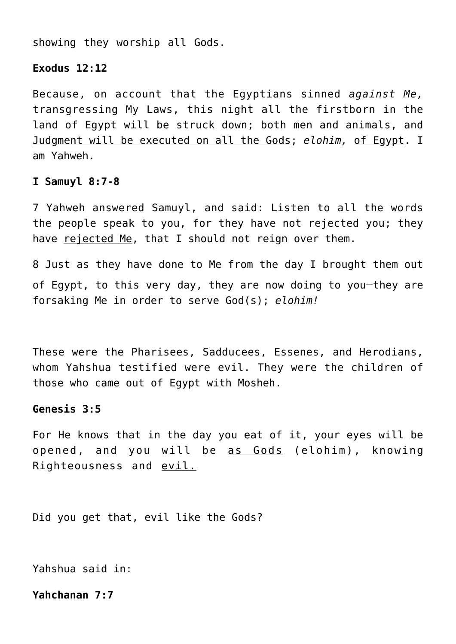showing they worship all Gods.

## **Exodus 12:12**

Because, on account that the Egyptians sinned *against Me,* transgressing My Laws, this night all the firstborn in the land of Egypt will be struck down; both men and animals, and Judgment will be executed on all the Gods; *elohim,* of Egypt. I am Yahweh.

## **I Samuyl 8:7-8**

7 Yahweh answered Samuyl, and said: Listen to all the words the people speak to you, for they have not rejected you; they have rejected Me, that I should not reign over them.

8 Just as they have done to Me from the day I brought them out of Egypt, to this very day, they are now doing to you-they are forsaking Me in order to serve God(s); *elohim!*

These were the Pharisees, Sadducees, Essenes, and Herodians, whom Yahshua testified were evil. They were the children of those who came out of Egypt with Mosheh.

#### **Genesis 3:5**

For He knows that in the day you eat of it, your eyes will be opened, and you will be as Gods (elohim), knowing Righteousness and evil.

Did you get that, evil like the Gods?

Yahshua said in:

## **Yahchanan 7:7**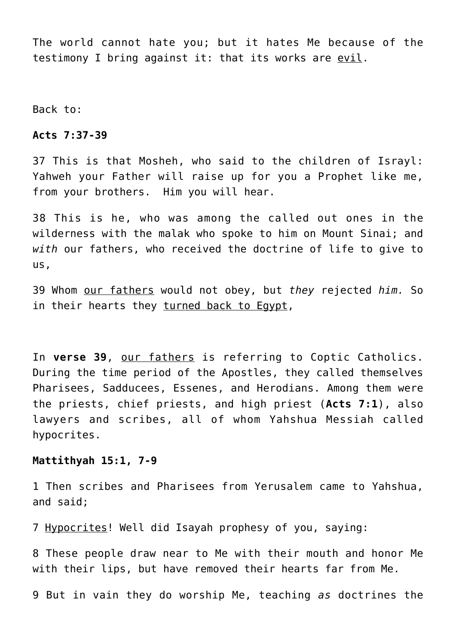The world cannot hate you; but it hates Me because of the testimony I bring against it: that its works are evil.

Back to:

**Acts 7:37-39**

37 This is that Mosheh, who said to the children of Israyl: Yahweh your Father will raise up for you a Prophet like me, from your brothers. Him you will hear.

38 This is he, who was among the called out ones in the wilderness with the malak who spoke to him on Mount Sinai; and *with* our fathers, who received the doctrine of life to give to us,

39 Whom our fathers would not obey, but *they* rejected *him.* So in their hearts they turned back to Egypt,

In **verse 39**, our fathers is referring to Coptic Catholics. During the time period of the Apostles, they called themselves Pharisees, Sadducees, Essenes, and Herodians. Among them were the priests, chief priests, and high priest (**Acts 7:1**), also lawyers and scribes, all of whom Yahshua Messiah called hypocrites.

# **Mattithyah 15:1, 7-9**

1 Then scribes and Pharisees from Yerusalem came to Yahshua, and said;

7 Hypocrites! Well did Isayah prophesy of you, saying:

8 These people draw near to Me with their mouth and honor Me with their lips, but have removed their hearts far from Me.

9 But in vain they do worship Me, teaching *as* doctrines the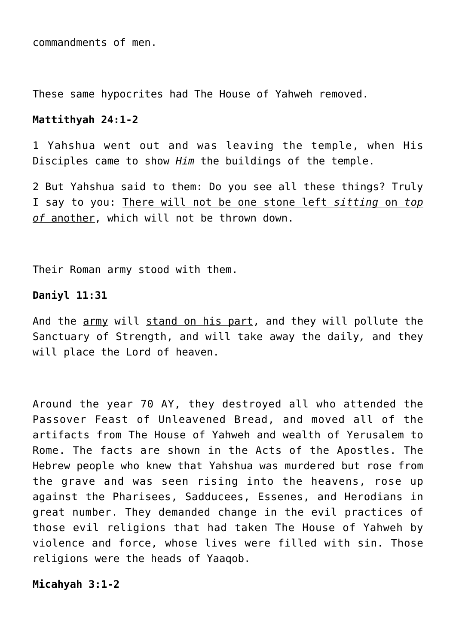commandments of men.

These same hypocrites had The House of Yahweh removed.

#### **Mattithyah 24:1-2**

1 Yahshua went out and was leaving the temple, when His Disciples came to show *Him* the buildings of the temple.

2 But Yahshua said to them: Do you see all these things? Truly I say to you: There will not be one stone left *sitting* on *top of* another, which will not be thrown down.

Their Roman army stood with them.

# **Daniyl 11:31**

And the army will stand on his part, and they will pollute the Sanctuary of Strength, and will take away the daily*,* and they will place the Lord of heaven.

Around the year 70 AY, they destroyed all who attended the Passover Feast of Unleavened Bread, and moved all of the artifacts from The House of Yahweh and wealth of Yerusalem to Rome. The facts are shown in the Acts of the Apostles. The Hebrew people who knew that Yahshua was murdered but rose from the grave and was seen rising into the heavens, rose up against the Pharisees, Sadducees, Essenes, and Herodians in great number. They demanded change in the evil practices of those evil religions that had taken The House of Yahweh by violence and force, whose lives were filled with sin. Those religions were the heads of Yaaqob.

**Micahyah 3:1-2**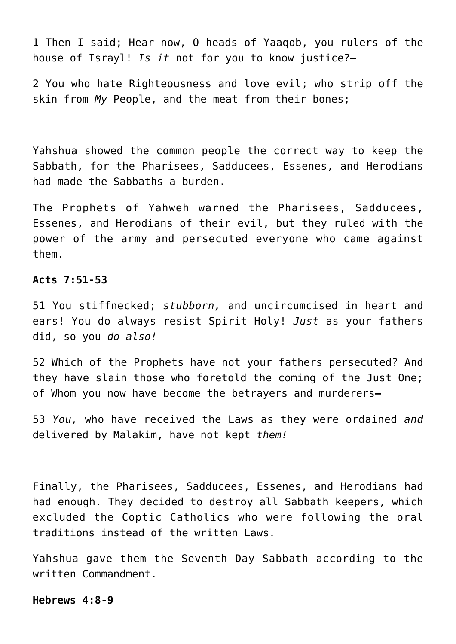1 Then I said; Hear now, O heads of Yaaqob, you rulers of the house of Israyl! *Is it* not for you to know justice?—

2 You who hate Righteousness and love evil; who strip off the skin from *My* People, and the meat from their bones;

Yahshua showed the common people the correct way to keep the Sabbath, for the Pharisees, Sadducees, Essenes, and Herodians had made the Sabbaths a burden.

The Prophets of Yahweh warned the Pharisees, Sadducees, Essenes, and Herodians of their evil, but they ruled with the power of the army and persecuted everyone who came against them.

## **Acts 7:51-53**

51 You stiffnecked; *stubborn,* and uncircumcised in heart and ears! You do always resist Spirit Holy! *Just* as your fathers did, so you *do also!*

52 Which of the Prophets have not your fathers persecuted? And they have slain those who foretold the coming of the Just One; of Whom you now have become the betrayers and murderers**—**

53 *You,* who have received the Laws as they were ordained *and* delivered by Malakim, have not kept *them!*

Finally, the Pharisees, Sadducees, Essenes, and Herodians had had enough. They decided to destroy all Sabbath keepers, which excluded the Coptic Catholics who were following the oral traditions instead of the written Laws.

Yahshua gave them the Seventh Day Sabbath according to the written Commandment.

#### **Hebrews 4:8-9**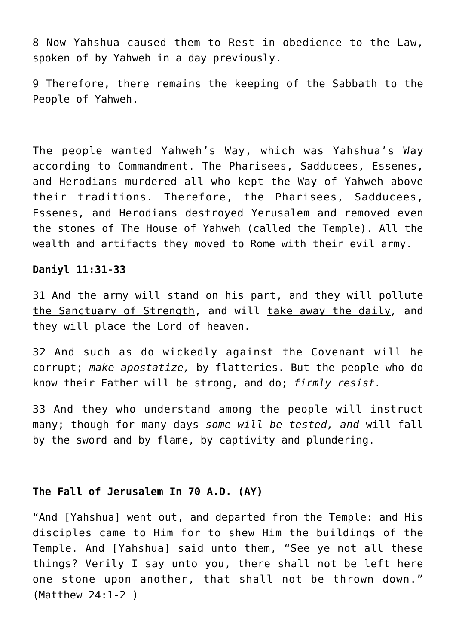8 Now Yahshua caused them to Rest in obedience to the Law, spoken of by Yahweh in a day previously.

9 Therefore, there remains the keeping of the Sabbath to the People of Yahweh.

The people wanted Yahweh's Way, which was Yahshua's Way according to Commandment. The Pharisees, Sadducees, Essenes, and Herodians murdered all who kept the Way of Yahweh above their traditions. Therefore, the Pharisees, Sadducees, Essenes, and Herodians destroyed Yerusalem and removed even the stones of The House of Yahweh (called the Temple). All the wealth and artifacts they moved to Rome with their evil army.

## **Daniyl 11:31-33**

31 And the army will stand on his part, and they will pollute the Sanctuary of Strength, and will take away the daily*,* and they will place the Lord of heaven.

32 And such as do wickedly against the Covenant will he corrupt; *make apostatize,* by flatteries. But the people who do know their Father will be strong, and do; *firmly resist.*

33 And they who understand among the people will instruct many; though for many days *some will be tested, and* will fall by the sword and by flame, by captivity and plundering.

## **The Fall of Jerusalem In 70 A.D. (AY)**

"And [Yahshua] went out, and departed from the Temple: and His disciples came to Him for to shew Him the buildings of the Temple. And [Yahshua] said unto them, "See ye not all these things? Verily I say unto you, there shall not be left here one stone upon another, that shall not be thrown down." (Matthew 24:1-2 )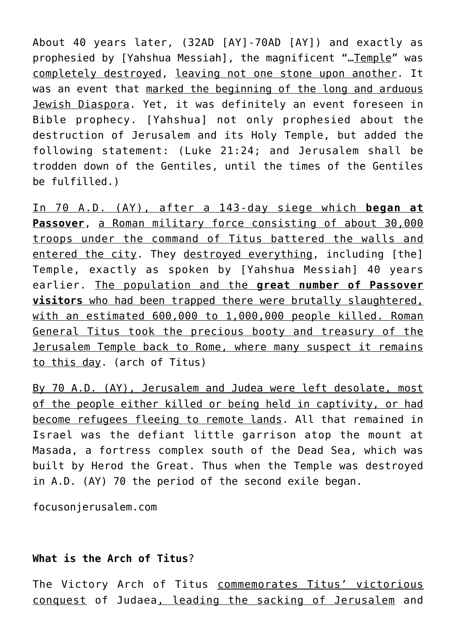About 40 years later, (32AD [AY]-70AD [AY]) and exactly as prophesied by [Yahshua Messiah], the magnificent "... Temple" was completely destroyed, leaving not one stone upon another. It was an event that marked the beginning of the long and arduous Jewish Diaspora. Yet, it was definitely an event foreseen in Bible prophecy. [Yahshua] not only prophesied about the destruction of Jerusalem and its Holy Temple, but added the following statement: (Luke 21:24; and Jerusalem shall be trodden down of the Gentiles, until the times of the Gentiles be fulfilled.)

In 70 A.D. (AY), after a 143-day siege which **began at Passover**, a Roman military force consisting of about 30,000 troops under the command of Titus battered the walls and entered the city. They destroyed everything, including [the] Temple, exactly as spoken by [Yahshua Messiah] 40 years earlier. The population and the **great number of Passover visitors** who had been trapped there were brutally slaughtered, with an estimated 600,000 to 1,000,000 people killed. Roman General Titus took the precious booty and treasury of the Jerusalem Temple back to Rome, where many suspect it remains to this day. (arch of Titus)

By 70 A.D. (AY), Jerusalem and Judea were left desolate, most of the people either killed or being held in captivity, or had become refugees fleeing to remote lands. All that remained in Israel was the defiant little garrison atop the mount at Masada, a fortress complex south of the Dead Sea, which was built by Herod the Great. Thus when the Temple was destroyed in A.D. (AY) 70 the period of the second exile began.

focusonjerusalem.com

# **What is the Arch of Titus**?

The Victory Arch of Titus commemorates Titus' victorious conquest of Judaea, leading the sacking of Jerusalem and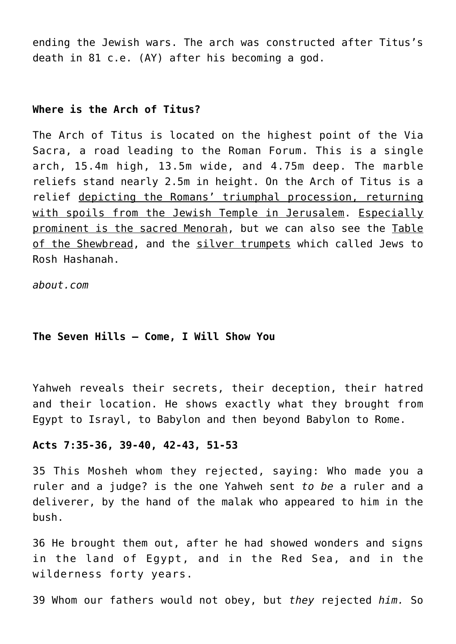ending the Jewish wars. The arch was constructed after Titus's death in 81 c.e. (AY) after his becoming a god.

## **Where is the Arch of Titus?**

The Arch of Titus is located on the highest point of the Via Sacra, a road leading to the Roman Forum. This is a single arch, 15.4m high, 13.5m wide, and 4.75m deep. The marble reliefs stand nearly 2.5m in height. On the Arch of Titus is a relief depicting the Romans' triumphal procession, returning with spoils from the Jewish Temple in Jerusalem. Especially prominent is the sacred Menorah, but we can also see the Table of the Shewbread, and the silver trumpets which called Jews to Rosh Hashanah.

*about.com*

#### **The Seven Hills – Come, I Will Show You**

Yahweh reveals their secrets, their deception, their hatred and their location. He shows exactly what they brought from Egypt to Israyl, to Babylon and then beyond Babylon to Rome.

#### **Acts 7:35-36, 39-40, 42-43, 51-53**

35 This Mosheh whom they rejected, saying: Who made you a ruler and a judge? is the one Yahweh sent *to be* a ruler and a deliverer, by the hand of the malak who appeared to him in the bush.

36 He brought them out, after he had showed wonders and signs in the land of Egypt, and in the Red Sea, and in the wilderness forty years.

39 Whom our fathers would not obey, but *they* rejected *him.* So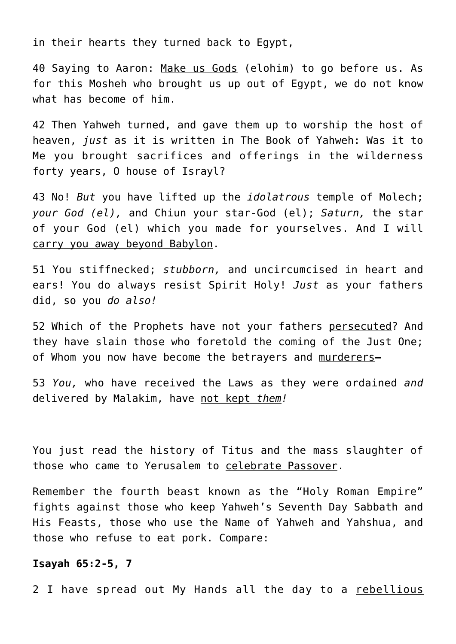in their hearts they turned back to Egypt,

40 Saying to Aaron: Make us Gods (elohim) to go before us. As for this Mosheh who brought us up out of Egypt, we do not know what has become of him.

42 Then Yahweh turned, and gave them up to worship the host of heaven, *just* as it is written in The Book of Yahweh: Was it to Me you brought sacrifices and offerings in the wilderness forty years, O house of Israyl?

43 No! *But* you have lifted up the *idolatrous* temple of Molech; *your God (el),* and Chiun your star-God (el); *Saturn,* the star of your God (el) which you made for yourselves. And I will carry you away beyond Babylon.

51 You stiffnecked; *stubborn,* and uncircumcised in heart and ears! You do always resist Spirit Holy! *Just* as your fathers did, so you *do also!*

52 Which of the Prophets have not your fathers persecuted? And they have slain those who foretold the coming of the Just One; of Whom you now have become the betrayers and murderers**—**

53 *You,* who have received the Laws as they were ordained *and* delivered by Malakim, have not kept *them!*

You just read the history of Titus and the mass slaughter of those who came to Yerusalem to celebrate Passover.

Remember the fourth beast known as the "Holy Roman Empire" fights against those who keep Yahweh's Seventh Day Sabbath and His Feasts, those who use the Name of Yahweh and Yahshua, and those who refuse to eat pork. Compare:

#### **Isayah 65:2-5, 7**

2 I have spread out My Hands all the day to a rebellious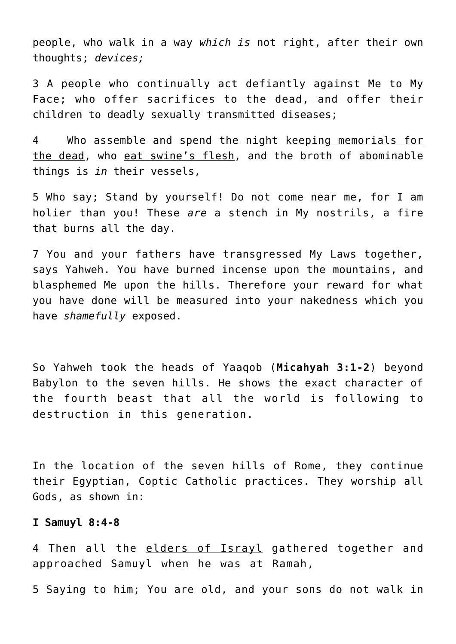people, who walk in a way *which is* not right, after their own thoughts; *devices;*

3 A people who continually act defiantly against Me to My Face; who offer sacrifices to the dead, and offer their children to deadly sexually transmitted diseases;

4 Who assemble and spend the night keeping memorials for the dead, who eat swine's flesh, and the broth of abominable things is *in* their vessels,

5 Who say; Stand by yourself! Do not come near me, for I am holier than you! These *are* a stench in My nostrils, a fire that burns all the day.

7 You and your fathers have transgressed My Laws together, says Yahweh. You have burned incense upon the mountains, and blasphemed Me upon the hills. Therefore your reward for what you have done will be measured into your nakedness which you have *shamefully* exposed.

So Yahweh took the heads of Yaaqob (**Micahyah 3:1-2**) beyond Babylon to the seven hills. He shows the exact character of the fourth beast that all the world is following to destruction in this generation.

In the location of the seven hills of Rome, they continue their Egyptian, Coptic Catholic practices. They worship all Gods, as shown in:

#### **I Samuyl 8:4-8**

4 Then all the elders of Israyl gathered together and approached Samuyl when he was at Ramah,

5 Saying to him; You are old, and your sons do not walk in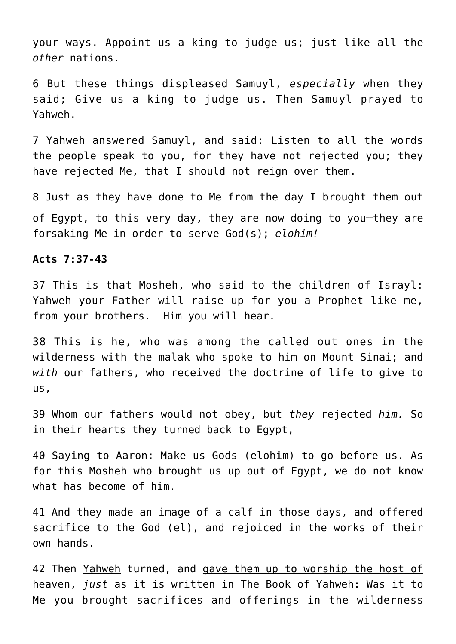your ways. Appoint us a king to judge us; just like all the *other* nations.

6 But these things displeased Samuyl, *especially* when they said; Give us a king to judge us. Then Samuyl prayed to Yahweh.

7 Yahweh answered Samuyl, and said: Listen to all the words the people speak to you, for they have not rejected you; they have rejected Me, that I should not reign over them.

8 Just as they have done to Me from the day I brought them out of Egypt, to this very day, they are now doing to you-they are forsaking Me in order to serve God(s); *elohim!*

#### **Acts 7:37-43**

37 This is that Mosheh, who said to the children of Israyl: Yahweh your Father will raise up for you a Prophet like me, from your brothers. Him you will hear.

38 This is he, who was among the called out ones in the wilderness with the malak who spoke to him on Mount Sinai; and *with* our fathers, who received the doctrine of life to give to us,

39 Whom our fathers would not obey, but *they* rejected *him.* So in their hearts they turned back to Egypt,

40 Saying to Aaron: Make us Gods (elohim) to go before us. As for this Mosheh who brought us up out of Egypt, we do not know what has become of him.

41 And they made an image of a calf in those days, and offered sacrifice to the God (el), and rejoiced in the works of their own hands.

42 Then Yahweh turned, and gave them up to worship the host of heaven, *just* as it is written in The Book of Yahweh: Was it to Me you brought sacrifices and offerings in the wilderness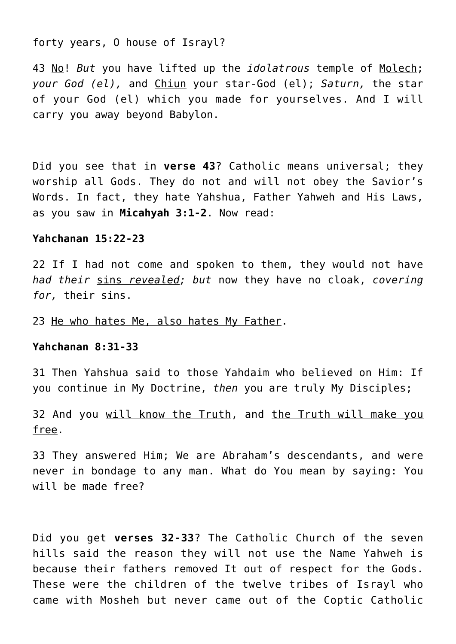## forty years, O house of Israyl?

43 No! *But* you have lifted up the *idolatrous* temple of Molech; *your God (el),* and Chiun your star-God (el); *Saturn,* the star of your God (el) which you made for yourselves. And I will carry you away beyond Babylon.

Did you see that in **verse 43**? Catholic means universal; they worship all Gods. They do not and will not obey the Savior's Words. In fact, they hate Yahshua, Father Yahweh and His Laws, as you saw in **Micahyah 3:1-2**. Now read:

#### **Yahchanan 15:22-23**

22 If I had not come and spoken to them, they would not have *had their* sins *revealed; but* now they have no cloak, *covering for,* their sins.

23 He who hates Me, also hates My Father.

## **Yahchanan 8:31-33**

31 Then Yahshua said to those Yahdaim who believed on Him: If you continue in My Doctrine, *then* you are truly My Disciples;

32 And you will know the Truth, and the Truth will make you free.

33 They answered Him; We are Abraham's descendants, and were never in bondage to any man. What do You mean by saying: You will be made free?

Did you get **verses 32-33**? The Catholic Church of the seven hills said the reason they will not use the Name Yahweh is because their fathers removed It out of respect for the Gods. These were the children of the twelve tribes of Israyl who came with Mosheh but never came out of the Coptic Catholic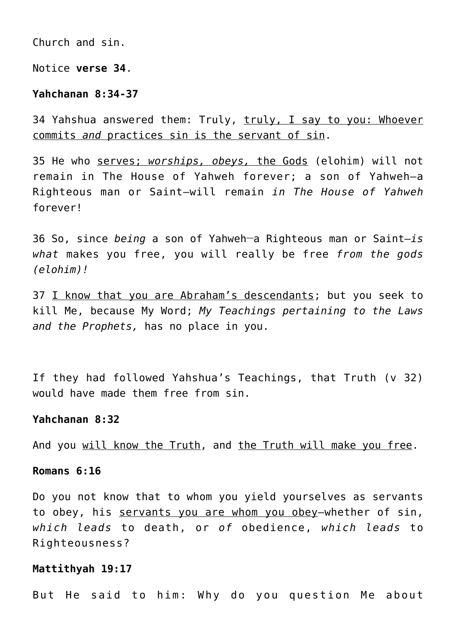Church and sin.

Notice **verse 34**.

#### **Yahchanan 8:34-37**

34 Yahshua answered them: Truly, truly, I say to you: Whoever commits *and* practices sin is the servant of sin.

35 He who serves; *worships, obeys,* the Gods (elohim) will not remain in The House of Yahweh forever; a son of Yahweh—a Righteous man or Saint—will remain *in The House of Yahweh* forever!

36 So, since *being* a son of Yahweh**\_\_**a Righteous man or Saint—*is what* makes you free, you will really be free *from the gods (elohim)!*

37 I know that you are Abraham's descendants; but you seek to kill Me, because My Word; *My Teachings pertaining to the Laws and the Prophets,* has no place in you.

If they had followed Yahshua's Teachings, that Truth (v 32) would have made them free from sin.

#### **Yahchanan 8:32**

And you will know the Truth, and the Truth will make you free.

#### **Romans 6:16**

Do you not know that to whom you yield yourselves as servants to obey, his servants you are whom you obey-whether of sin, *which leads* to death, or *of* obedience, *which leads* to Righteousness?

#### **Mattithyah 19:17**

But He said to him: Why do you question Me about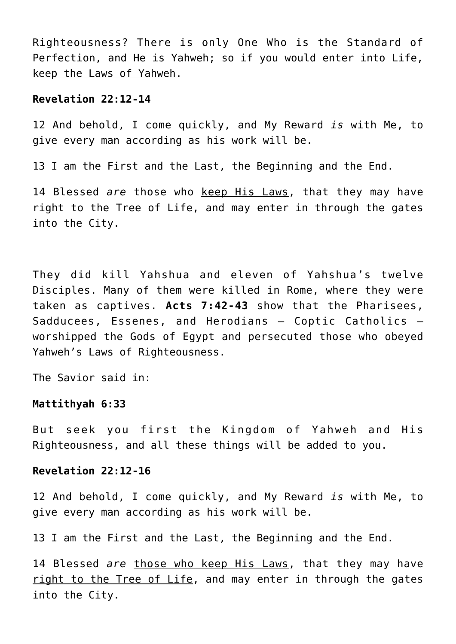Righteousness? There is only One Who is the Standard of Perfection, and He is Yahweh; so if you would enter into Life, keep the Laws of Yahweh.

#### **Revelation 22:12-14**

12 And behold, I come quickly, and My Reward *is* with Me, to give every man according as his work will be.

13 I am the First and the Last, the Beginning and the End.

14 Blessed *are* those who keep His Laws, that they may have right to the Tree of Life, and may enter in through the gates into the City.

They did kill Yahshua and eleven of Yahshua's twelve Disciples. Many of them were killed in Rome, where they were taken as captives. **Acts 7:42-43** show that the Pharisees, Sadducees, Essenes, and Herodians – Coptic Catholics – worshipped the Gods of Egypt and persecuted those who obeyed Yahweh's Laws of Righteousness.

The Savior said in:

# **Mattithyah 6:33**

But seek you first the Kingdom of Yahweh and His Righteousness, and all these things will be added to you.

## **Revelation 22:12-16**

12 And behold, I come quickly, and My Reward *is* with Me, to give every man according as his work will be.

13 I am the First and the Last, the Beginning and the End.

14 Blessed *are* those who keep His Laws, that they may have right to the Tree of Life, and may enter in through the gates into the City.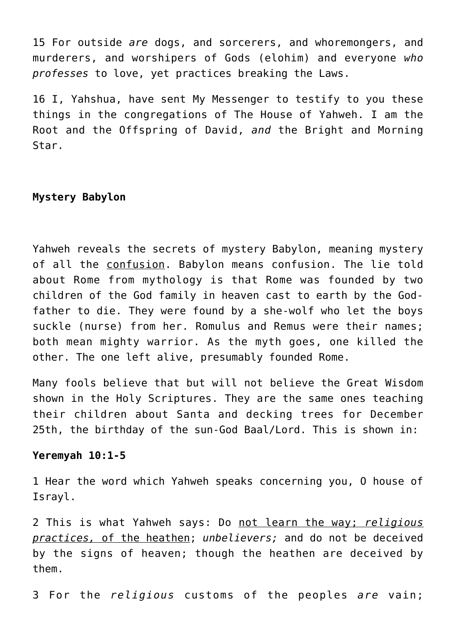15 For outside *are* dogs, and sorcerers, and whoremongers, and murderers, and worshipers of Gods (elohim) and everyone *who professes* to love, yet practices breaking the Laws.

16 I, Yahshua, have sent My Messenger to testify to you these things in the congregations of The House of Yahweh. I am the Root and the Offspring of David, *and* the Bright and Morning Star.

# **Mystery Babylon**

Yahweh reveals the secrets of mystery Babylon, meaning mystery of all the confusion. Babylon means confusion. The lie told about Rome from mythology is that Rome was founded by two children of the God family in heaven cast to earth by the Godfather to die. They were found by a she-wolf who let the boys suckle (nurse) from her. Romulus and Remus were their names; both mean mighty warrior. As the myth goes, one killed the other. The one left alive, presumably founded Rome.

Many fools believe that but will not believe the Great Wisdom shown in the Holy Scriptures. They are the same ones teaching their children about Santa and decking trees for December 25th, the birthday of the sun-God Baal/Lord. This is shown in:

# **Yeremyah 10:1-5**

1 Hear the word which Yahweh speaks concerning you, O house of Israyl.

2 This is what Yahweh says: Do not learn the way; *religious practices,* of the heathen; *unbelievers;* and do not be deceived by the signs of heaven; though the heathen are deceived by them.

3 For the *religious* customs of the peoples *are* vain;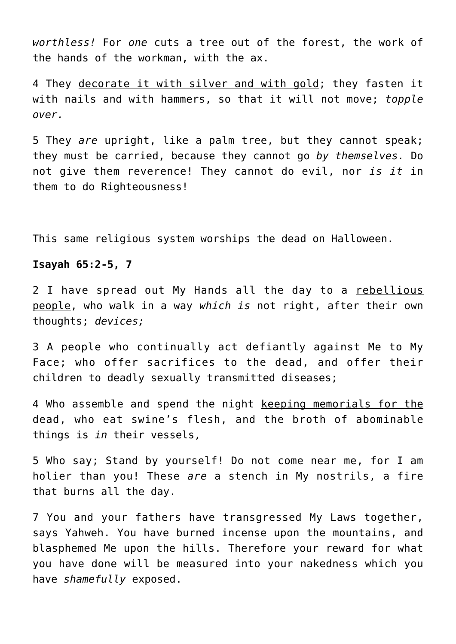*worthless!* For *one* cuts a tree out of the forest, the work of the hands of the workman, with the ax.

4 They decorate it with silver and with gold; they fasten it with nails and with hammers, so that it will not move; *topple over.*

5 They *are* upright, like a palm tree, but they cannot speak; they must be carried, because they cannot go *by themselves.* Do not give them reverence! They cannot do evil, nor *is it* in them to do Righteousness!

This same religious system worships the dead on Halloween.

## **Isayah 65:2-5, 7**

2 I have spread out My Hands all the day to a rebellious people, who walk in a way *which is* not right, after their own thoughts; *devices;*

3 A people who continually act defiantly against Me to My Face; who offer sacrifices to the dead, and offer their children to deadly sexually transmitted diseases;

4 Who assemble and spend the night keeping memorials for the dead, who eat swine's flesh, and the broth of abominable things is *in* their vessels,

5 Who say; Stand by yourself! Do not come near me, for I am holier than you! These *are* a stench in My nostrils, a fire that burns all the day.

7 You and your fathers have transgressed My Laws together, says Yahweh. You have burned incense upon the mountains, and blasphemed Me upon the hills. Therefore your reward for what you have done will be measured into your nakedness which you have *shamefully* exposed.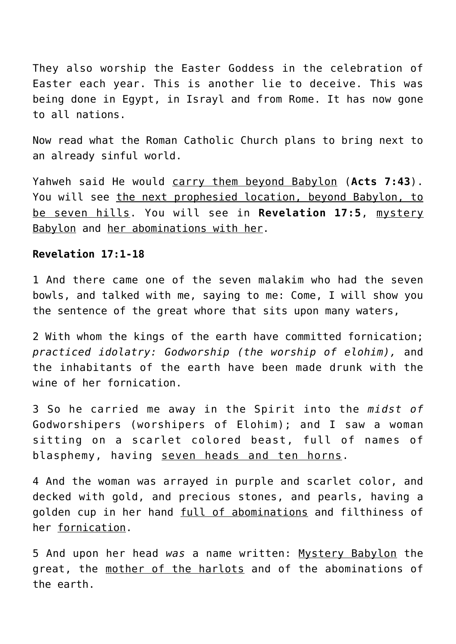They also worship the Easter Goddess in the celebration of Easter each year. This is another lie to deceive. This was being done in Egypt, in Israyl and from Rome. It has now gone to all nations.

Now read what the Roman Catholic Church plans to bring next to an already sinful world.

Yahweh said He would carry them beyond Babylon (**Acts 7:43**). You will see the next prophesied location, beyond Babylon, to be seven hills. You will see in **Revelation 17:5**, mystery Babylon and her abominations with her.

## **Revelation 17:1-18**

1 And there came one of the seven malakim who had the seven bowls, and talked with me, saying to me: Come, I will show you the sentence of the great whore that sits upon many waters,

2 With whom the kings of the earth have committed fornication; *practiced idolatry: Godworship (the worship of elohim),* and the inhabitants of the earth have been made drunk with the wine of her fornication.

3 So he carried me away in the Spirit into the *midst of* Godworshipers (worshipers of Elohim); and I saw a woman sitting on a scarlet colored beast, full of names of blasphemy, having seven heads and ten horns.

4 And the woman was arrayed in purple and scarlet color, and decked with gold, and precious stones, and pearls, having a golden cup in her hand full of abominations and filthiness of her fornication.

5 And upon her head *was* a name written: Mystery Babylon the great, the mother of the harlots and of the abominations of the earth.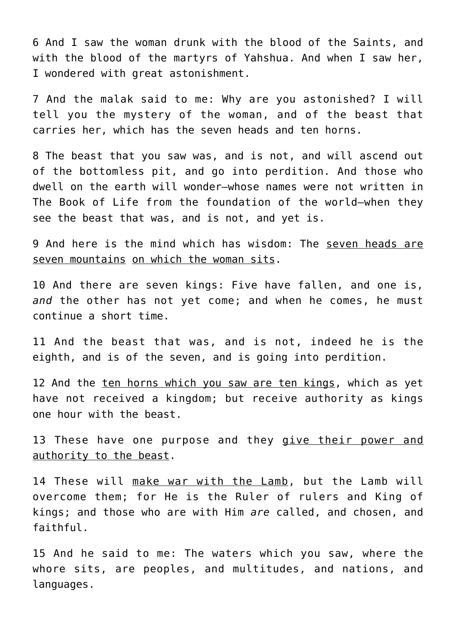6 And I saw the woman drunk with the blood of the Saints, and with the blood of the martyrs of Yahshua. And when I saw her, I wondered with great astonishment.

7 And the malak said to me: Why are you astonished? I will tell you the mystery of the woman, and of the beast that carries her, which has the seven heads and ten horns.

8 The beast that you saw was, and is not, and will ascend out of the bottomless pit, and go into perdition. And those who dwell on the earth will wonder—whose names were not written in The Book of Life from the foundation of the world—when they see the beast that was, and is not, and yet is.

9 And here is the mind which has wisdom: The seven heads are seven mountains on which the woman sits.

10 And there are seven kings: Five have fallen, and one is, *and* the other has not yet come; and when he comes, he must continue a short time.

11 And the beast that was, and is not, indeed he is the eighth, and is of the seven, and is going into perdition.

12 And the ten horns which you saw are ten kings, which as yet have not received a kingdom; but receive authority as kings one hour with the beast.

13 These have one purpose and they give their power and authority to the beast.

14 These will make war with the Lamb, but the Lamb will overcome them; for He is the Ruler of rulers and King of kings; and those who are with Him *are* called, and chosen, and faithful.

15 And he said to me: The waters which you saw, where the whore sits, are peoples, and multitudes, and nations, and languages.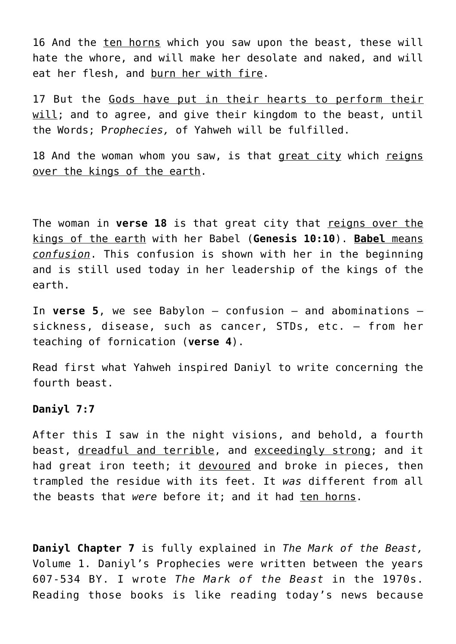16 And the ten horns which you saw upon the beast, these will hate the whore, and will make her desolate and naked, and will eat her flesh, and burn her with fire.

17 But the Gods have put in their hearts to perform their will; and to agree, and give their kingdom to the beast, until the Words; P*rophecies,* of Yahweh will be fulfilled.

18 And the woman whom you saw, is that great city which reigns over the kings of the earth.

The woman in **verse 18** is that great city that reigns over the kings of the earth with her Babel (**Genesis 10:10**). **Babel** means *confusion*. This confusion is shown with her in the beginning and is still used today in her leadership of the kings of the earth.

In **verse 5**, we see Babylon – confusion – and abominations – sickness, disease, such as cancer, STDs, etc. – from her teaching of fornication (**verse 4**).

Read first what Yahweh inspired Daniyl to write concerning the fourth beast.

# **Daniyl 7:7**

After this I saw in the night visions, and behold, a fourth beast, dreadful and terrible, and exceedingly strong; and it had great iron teeth; it devoured and broke in pieces, then trampled the residue with its feet. It *was* different from all the beasts that were before it; and it had ten horns.

**Daniyl Chapter 7** is fully explained in *The Mark of the Beast,* Volume 1. Daniyl's Prophecies were written between the years 607-534 BY. I wrote *The Mark of the Beast* in the 1970s. Reading those books is like reading today's news because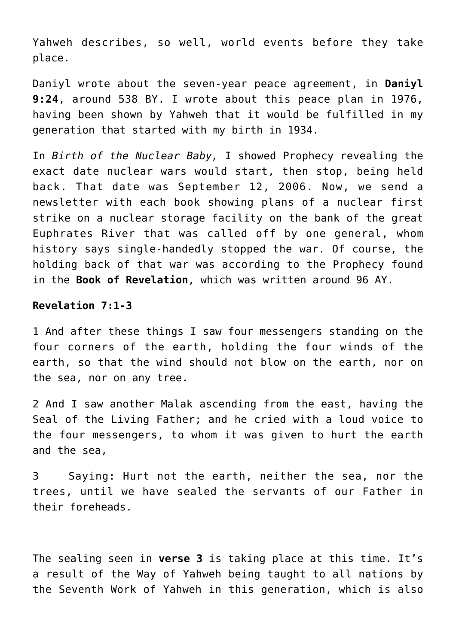Yahweh describes, so well, world events before they take place.

Daniyl wrote about the seven-year peace agreement, in **Daniyl 9:24**, around 538 BY. I wrote about this peace plan in 1976, having been shown by Yahweh that it would be fulfilled in my generation that started with my birth in 1934.

In *Birth of the Nuclear Baby,* I showed Prophecy revealing the exact date nuclear wars would start, then stop, being held back. That date was September 12, 2006. Now, we send a newsletter with each book showing plans of a nuclear first strike on a nuclear storage facility on the bank of the great Euphrates River that was called off by one general, whom history says single-handedly stopped the war. Of course, the holding back of that war was according to the Prophecy found in the **Book of Revelation**, which was written around 96 AY.

#### **Revelation 7:1-3**

1 And after these things I saw four messengers standing on the four corners of the earth, holding the four winds of the earth, so that the wind should not blow on the earth, nor on the sea, nor on any tree.

2 And I saw another Malak ascending from the east, having the Seal of the Living Father; and he cried with a loud voice to the four messengers, to whom it was given to hurt the earth and the sea,

3 Saying: Hurt not the earth, neither the sea, nor the trees, until we have sealed the servants of our Father in their foreheads.

The sealing seen in **verse 3** is taking place at this time. It's a result of the Way of Yahweh being taught to all nations by the Seventh Work of Yahweh in this generation, which is also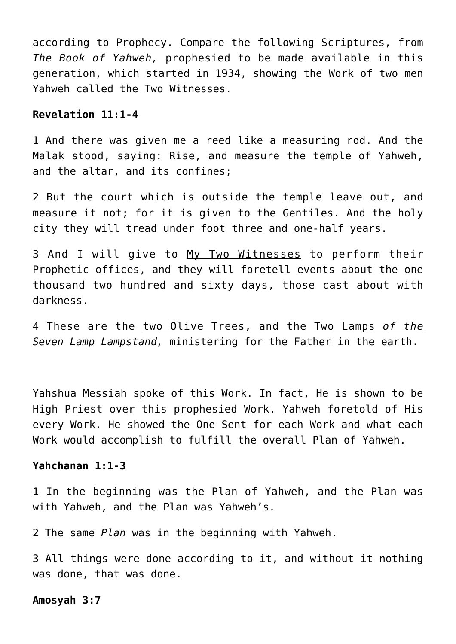according to Prophecy. Compare the following Scriptures, from *The Book of Yahweh,* prophesied to be made available in this generation, which started in 1934, showing the Work of two men Yahweh called the Two Witnesses.

### **Revelation 11:1-4**

1 And there was given me a reed like a measuring rod. And the Malak stood, saying: Rise, and measure the temple of Yahweh, and the altar, and its confines;

2 But the court which is outside the temple leave out, and measure it not; for it is given to the Gentiles. And the holy city they will tread under foot three and one-half years.

3 And I will give to My Two Witnesses to perform their Prophetic offices, and they will foretell events about the one thousand two hundred and sixty days, those cast about with darkness.

4 These are the two Olive Trees, and the Two Lamps *of the Seven Lamp Lampstand,* ministering for the Father in the earth.

Yahshua Messiah spoke of this Work. In fact, He is shown to be High Priest over this prophesied Work. Yahweh foretold of His every Work. He showed the One Sent for each Work and what each Work would accomplish to fulfill the overall Plan of Yahweh.

## **Yahchanan 1:1-3**

1 In the beginning was the Plan of Yahweh, and the Plan was with Yahweh, and the Plan was Yahweh's.

2 The same *Plan* was in the beginning with Yahweh.

3 All things were done according to it, and without it nothing was done, that was done.

#### **Amosyah 3:7**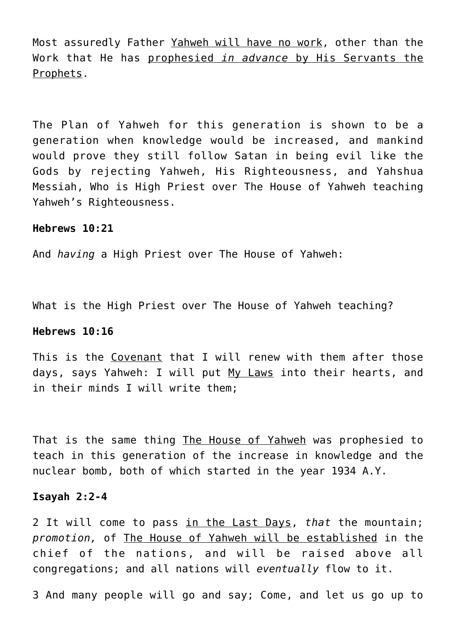Most assuredly Father Yahweh will have no work, other than the Work that He has prophesied *in advance* by His Servants the Prophets.

The Plan of Yahweh for this generation is shown to be a generation when knowledge would be increased, and mankind would prove they still follow Satan in being evil like the Gods by rejecting Yahweh, His Righteousness, and Yahshua Messiah, Who is High Priest over The House of Yahweh teaching Yahweh's Righteousness.

#### **Hebrews 10:21**

And *having* a High Priest over The House of Yahweh:

What is the High Priest over The House of Yahweh teaching?

## **Hebrews 10:16**

This is the Covenant that I will renew with them after those days, says Yahweh: I will put My Laws into their hearts, and in their minds I will write them;

That is the same thing The House of Yahweh was prophesied to teach in this generation of the increase in knowledge and the nuclear bomb, both of which started in the year 1934 A.Y.

#### **Isayah 2:2-4**

2 It will come to pass in the Last Days, *that* the mountain; *promotion,* of The House of Yahweh will be established in the chief of the nations, and will be raised above all congregations; and all nations will *eventually* flow to it.

3 And many people will go and say; Come, and let us go up to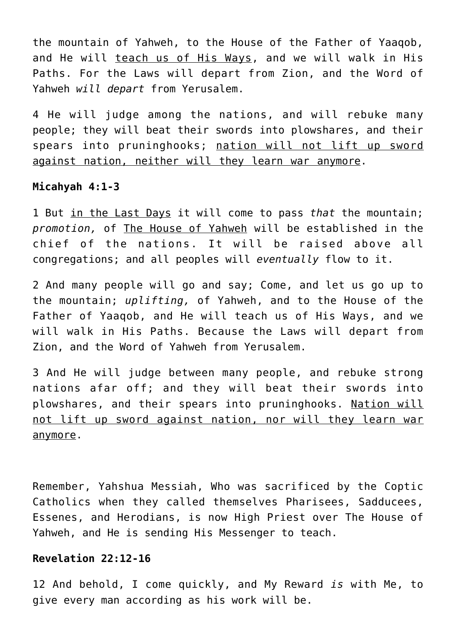the mountain of Yahweh, to the House of the Father of Yaaqob, and He will teach us of His Ways, and we will walk in His Paths. For the Laws will depart from Zion, and the Word of Yahweh *will depart* from Yerusalem.

4 He will judge among the nations, and will rebuke many people; they will beat their swords into plowshares, and their spears into pruninghooks; nation will not lift up sword against nation, neither will they learn war anymore.

# **Micahyah 4:1-3**

1 But in the Last Days it will come to pass *that* the mountain; *promotion,* of The House of Yahweh will be established in the chief of the nations. It will be raised above all congregations; and all peoples will *eventually* flow to it.

2 And many people will go and say; Come, and let us go up to the mountain; *uplifting,* of Yahweh, and to the House of the Father of Yaaqob, and He will teach us of His Ways, and we will walk in His Paths. Because the Laws will depart from Zion, and the Word of Yahweh from Yerusalem.

3 And He will judge between many people, and rebuke strong nations afar off; and they will beat their swords into plowshares, and their spears into pruninghooks. Nation will not lift up sword against nation, nor will they learn war anymore.

Remember, Yahshua Messiah, Who was sacrificed by the Coptic Catholics when they called themselves Pharisees, Sadducees, Essenes, and Herodians, is now High Priest over The House of Yahweh, and He is sending His Messenger to teach.

## **Revelation 22:12-16**

12 And behold, I come quickly, and My Reward *is* with Me, to give every man according as his work will be.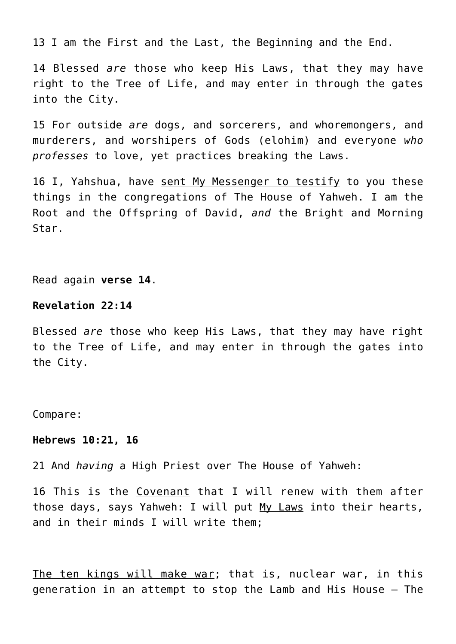13 I am the First and the Last, the Beginning and the End.

14 Blessed *are* those who keep His Laws, that they may have right to the Tree of Life, and may enter in through the gates into the City.

15 For outside *are* dogs, and sorcerers, and whoremongers, and murderers, and worshipers of Gods (elohim) and everyone *who professes* to love, yet practices breaking the Laws.

16 I, Yahshua, have sent My Messenger to testify to you these things in the congregations of The House of Yahweh. I am the Root and the Offspring of David, *and* the Bright and Morning Star.

Read again **verse 14**.

#### **Revelation 22:14**

Blessed *are* those who keep His Laws, that they may have right to the Tree of Life, and may enter in through the gates into the City.

Compare:

#### **Hebrews 10:21, 16**

21 And *having* a High Priest over The House of Yahweh:

16 This is the Covenant that I will renew with them after those days, says Yahweh: I will put My Laws into their hearts, and in their minds I will write them;

The ten kings will make war; that is, nuclear war, in this generation in an attempt to stop the Lamb and His House – The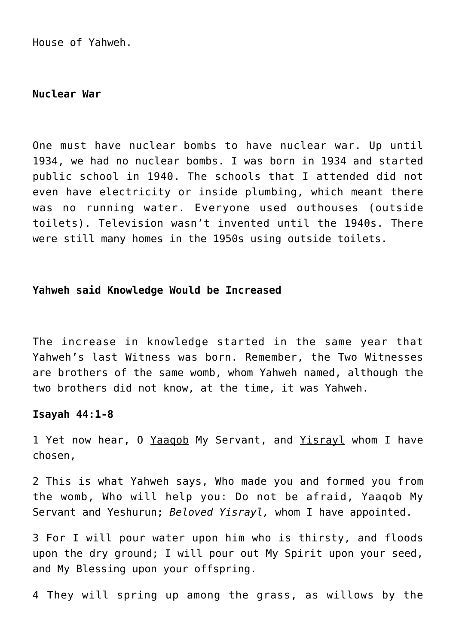House of Yahweh.

#### **Nuclear War**

One must have nuclear bombs to have nuclear war. Up until 1934, we had no nuclear bombs. I was born in 1934 and started public school in 1940. The schools that I attended did not even have electricity or inside plumbing, which meant there was no running water. Everyone used outhouses (outside toilets). Television wasn't invented until the 1940s. There were still many homes in the 1950s using outside toilets.

### **Yahweh said Knowledge Would be Increased**

The increase in knowledge started in the same year that Yahweh's last Witness was born. Remember, the Two Witnesses are brothers of the same womb, whom Yahweh named, although the two brothers did not know, at the time, it was Yahweh.

## **Isayah 44:1-8**

1 Yet now hear, 0 Yaaqob My Servant, and Yisrayl whom I have chosen,

2 This is what Yahweh says, Who made you and formed you from the womb, Who will help you: Do not be afraid, Yaaqob My Servant and Yeshurun; *Beloved Yisrayl,* whom I have appointed.

3 For I will pour water upon him who is thirsty, and floods upon the dry ground; I will pour out My Spirit upon your seed, and My Blessing upon your offspring.

4 They will spring up among the grass, as willows by the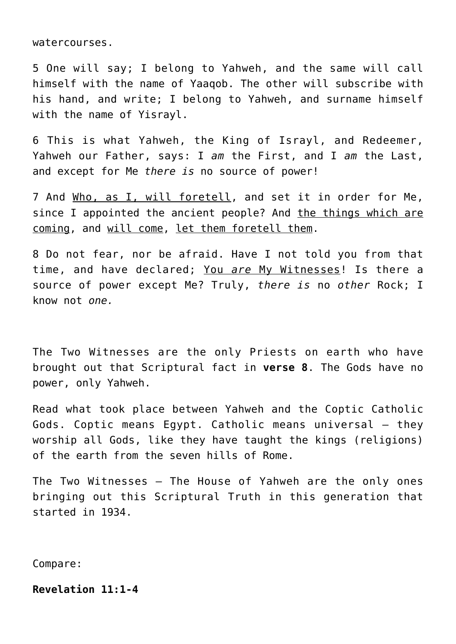watercourses.

5 One will say; I belong to Yahweh, and the same will call himself with the name of Yaaqob. The other will subscribe with his hand, and write; I belong to Yahweh, and surname himself with the name of Yisrayl.

6 This is what Yahweh, the King of Israyl, and Redeemer, Yahweh our Father, says: I *am* the First, and I *am* the Last, and except for Me *there is* no source of power!

7 And Who, as I, will foretell, and set it in order for Me, since I appointed the ancient people? And the things which are coming, and will come, let them foretell them.

8 Do not fear, nor be afraid. Have I not told you from that time, and have declared; You *are* My Witnesses! Is there a source of power except Me? Truly, *there is* no *other* Rock; I know not *one.*

The Two Witnesses are the only Priests on earth who have brought out that Scriptural fact in **verse 8**. The Gods have no power, only Yahweh.

Read what took place between Yahweh and the Coptic Catholic Gods. Coptic means Egypt. Catholic means universal – they worship all Gods, like they have taught the kings (religions) of the earth from the seven hills of Rome.

The Two Witnesses – The House of Yahweh are the only ones bringing out this Scriptural Truth in this generation that started in 1934.

Compare:

# **Revelation 11:1-4**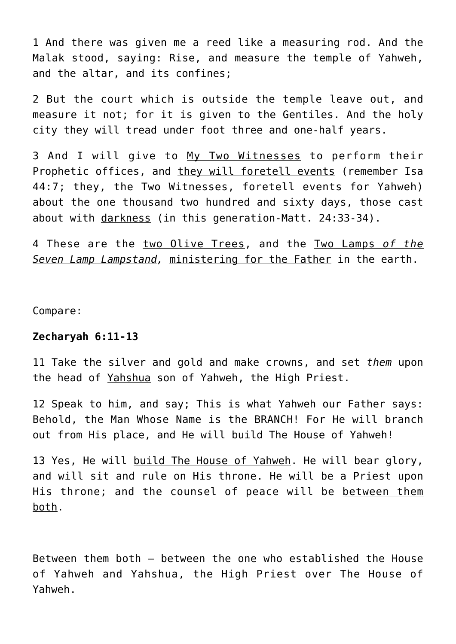1 And there was given me a reed like a measuring rod. And the Malak stood, saying: Rise, and measure the temple of Yahweh, and the altar, and its confines;

2 But the court which is outside the temple leave out, and measure it not; for it is given to the Gentiles. And the holy city they will tread under foot three and one-half years.

3 And I will give to My Two Witnesses to perform their Prophetic offices, and they will foretell events (remember Isa 44:7; they, the Two Witnesses, foretell events for Yahweh) about the one thousand two hundred and sixty days, those cast about with darkness (in this generation-Matt. 24:33-34).

4 These are the two Olive Trees, and the Two Lamps *of the Seven Lamp Lampstand,* ministering for the Father in the earth.

Compare:

#### **Zecharyah 6:11-13**

11 Take the silver and gold and make crowns, and set *them* upon the head of Yahshua son of Yahweh, the High Priest.

12 Speak to him, and say; This is what Yahweh our Father says: Behold, the Man Whose Name is the BRANCH! For He will branch out from His place, and He will build The House of Yahweh!

13 Yes, He will build The House of Yahweh. He will bear glory, and will sit and rule on His throne. He will be a Priest upon His throne; and the counsel of peace will be between them both.

Between them both – between the one who established the House of Yahweh and Yahshua, the High Priest over The House of Yahweh.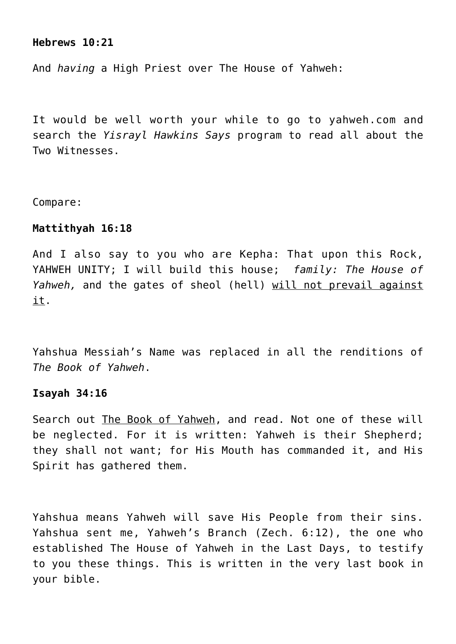### **Hebrews 10:21**

And *having* a High Priest over The House of Yahweh:

It would be well worth your while to go to yahweh.com and search the *Yisrayl Hawkins Says* program to read all about the Two Witnesses.

Compare:

#### **Mattithyah 16:18**

And I also say to you who are Kepha: That upon this Rock, YAHWEH UNITY; I will build this house; *family: The House of Yahweh,* and the gates of sheol (hell) will not prevail against it.

Yahshua Messiah's Name was replaced in all the renditions of *The Book of Yahweh*.

#### **Isayah 34:16**

Search out The Book of Yahweh, and read. Not one of these will be neglected. For it is written: Yahweh is their Shepherd; they shall not want; for His Mouth has commanded it, and His Spirit has gathered them.

Yahshua means Yahweh will save His People from their sins. Yahshua sent me, Yahweh's Branch (Zech. 6:12), the one who established The House of Yahweh in the Last Days, to testify to you these things. This is written in the very last book in your bible.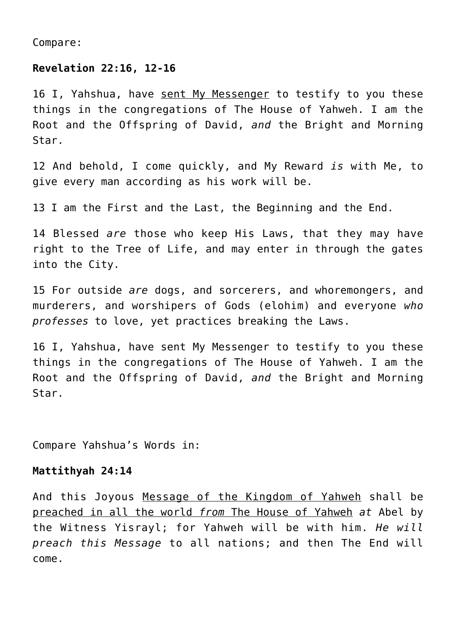Compare:

# **Revelation 22:16, 12-16**

16 I, Yahshua, have sent My Messenger to testify to you these things in the congregations of The House of Yahweh. I am the Root and the Offspring of David, *and* the Bright and Morning Star.

12 And behold, I come quickly, and My Reward *is* with Me, to give every man according as his work will be.

13 I am the First and the Last, the Beginning and the End.

14 Blessed *are* those who keep His Laws, that they may have right to the Tree of Life, and may enter in through the gates into the City.

15 For outside *are* dogs, and sorcerers, and whoremongers, and murderers, and worshipers of Gods (elohim) and everyone *who professes* to love, yet practices breaking the Laws.

16 I, Yahshua, have sent My Messenger to testify to you these things in the congregations of The House of Yahweh. I am the Root and the Offspring of David, *and* the Bright and Morning Star.

Compare Yahshua's Words in:

#### **Mattithyah 24:14**

And this Joyous Message of the Kingdom of Yahweh shall be preached in all the world *from* The House of Yahweh *at* Abel by the Witness Yisrayl; for Yahweh will be with him. *He will preach this Message* to all nations; and then The End will come.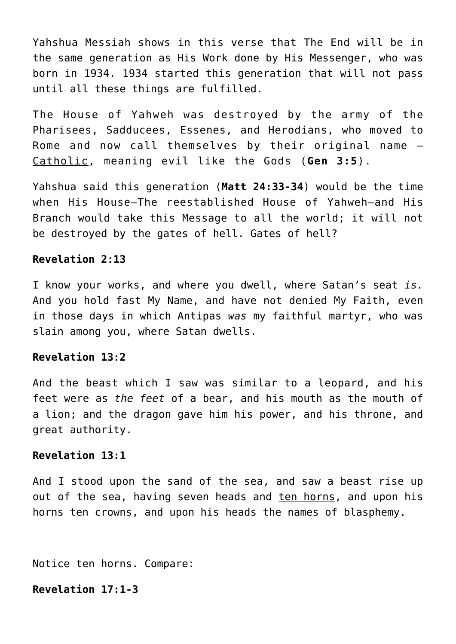Yahshua Messiah shows in this verse that The End will be in the same generation as His Work done by His Messenger, who was born in 1934. 1934 started this generation that will not pass until all these things are fulfilled.

The House of Yahweh was destroyed by the army of the Pharisees, Sadducees, Essenes, and Herodians, who moved to Rome and now call themselves by their original name – Catholic, meaning evil like the Gods (**Gen 3:5**).

Yahshua said this generation (**Matt 24:33-34**) would be the time when His House–The reestablished House of Yahweh–and His Branch would take this Message to all the world; it will not be destroyed by the gates of hell. Gates of hell?

## **Revelation 2:13**

I know your works, and where you dwell, where Satan's seat *is.* And you hold fast My Name, and have not denied My Faith, even in those days in which Antipas *was* my faithful martyr, who was slain among you, where Satan dwells.

## **Revelation 13:2**

And the beast which I saw was similar to a leopard, and his feet were as *the feet* of a bear, and his mouth as the mouth of a lion; and the dragon gave him his power, and his throne, and great authority.

## **Revelation 13:1**

And I stood upon the sand of the sea, and saw a beast rise up out of the sea, having seven heads and ten horns, and upon his horns ten crowns, and upon his heads the names of blasphemy.

Notice ten horns. Compare:

**Revelation 17:1-3**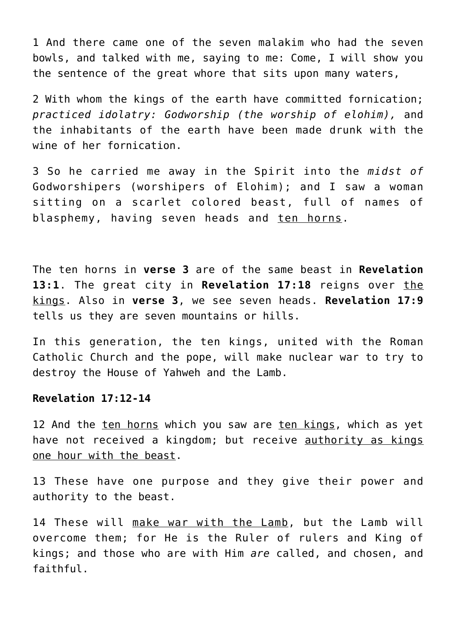1 And there came one of the seven malakim who had the seven bowls, and talked with me, saying to me: Come, I will show you the sentence of the great whore that sits upon many waters,

2 With whom the kings of the earth have committed fornication; *practiced idolatry: Godworship (the worship of elohim),* and the inhabitants of the earth have been made drunk with the wine of her fornication.

3 So he carried me away in the Spirit into the *midst of* Godworshipers (worshipers of Elohim); and I saw a woman sitting on a scarlet colored beast, full of names of blasphemy, having seven heads and ten horns.

The ten horns in **verse 3** are of the same beast in **Revelation 13:1**. The great city in **Revelation 17:18** reigns over the kings. Also in **verse 3**, we see seven heads. **Revelation 17:9** tells us they are seven mountains or hills.

In this generation, the ten kings, united with the Roman Catholic Church and the pope, will make nuclear war to try to destroy the House of Yahweh and the Lamb.

## **Revelation 17:12-14**

12 And the ten horns which you saw are ten kings, which as yet have not received a kingdom; but receive authority as kings one hour with the beast.

13 These have one purpose and they give their power and authority to the beast.

14 These will make war with the Lamb, but the Lamb will overcome them; for He is the Ruler of rulers and King of kings; and those who are with Him *are* called, and chosen, and faithful.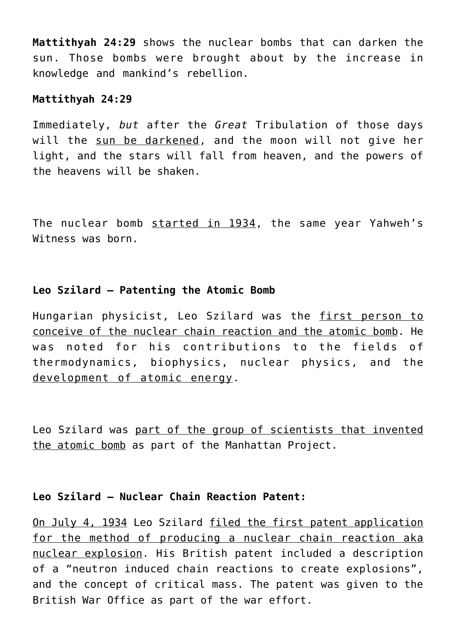**Mattithyah 24:29** shows the nuclear bombs that can darken the sun. Those bombs were brought about by the increase in knowledge and mankind's rebellion.

#### **Mattithyah 24:29**

Immediately, *but* after the *Great* Tribulation of those days will the sun be darkened, and the moon will not give her light, and the stars will fall from heaven, and the powers of the heavens will be shaken.

The nuclear bomb started in 1934, the same year Yahweh's Witness was born.

# **Leo Szilard – Patenting the Atomic Bomb**

Hungarian physicist, Leo Szilard was the first person to conceive of the nuclear chain reaction and the atomic bomb. He was noted for his contributions to the fields of thermodynamics, biophysics, nuclear physics, and the development of atomic energy.

Leo Szilard was part of the group of scientists that invented the atomic bomb as part of the Manhattan Project.

# **Leo Szilard – Nuclear Chain Reaction Patent:**

On July 4, 1934 Leo Szilard filed the first patent application for the method of producing a nuclear chain reaction aka nuclear explosion. His British patent included a description of a "neutron induced chain reactions to create explosions", and the concept of critical mass. The patent was given to the British War Office as part of the war effort.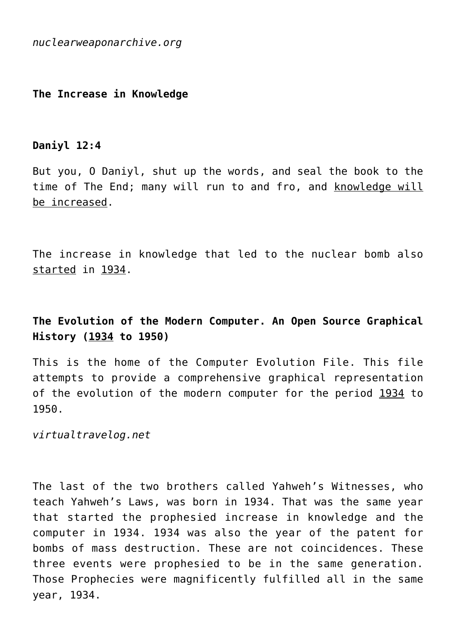*nuclearweaponarchive.org*

# **The Increase in Knowledge**

# **Daniyl 12:4**

But you, O Daniyl, shut up the words, and seal the book to the time of The End; many will run to and fro, and knowledge will be increased.

The increase in knowledge that led to the nuclear bomb also started in 1934.

# **The Evolution of the Modern Computer. An Open Source Graphical History (1934 to 1950)**

This is the home of the Computer Evolution File. This file attempts to provide a comprehensive graphical representation of the evolution of the modern computer for the period 1934 to 1950.

*virtualtravelog.net*

The last of the two brothers called Yahweh's Witnesses, who teach Yahweh's Laws, was born in 1934. That was the same year that started the prophesied increase in knowledge and the computer in 1934. 1934 was also the year of the patent for bombs of mass destruction. These are not coincidences. These three events were prophesied to be in the same generation. Those Prophecies were magnificently fulfilled all in the same year, 1934.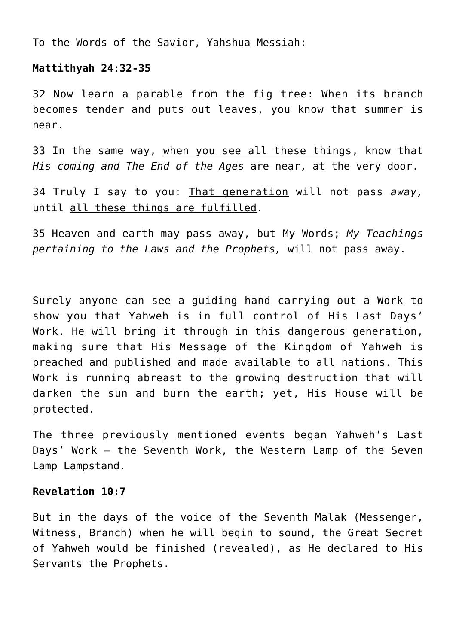To the Words of the Savior, Yahshua Messiah:

# **Mattithyah 24:32-35**

32 Now learn a parable from the fig tree: When its branch becomes tender and puts out leaves, you know that summer is near.

33 In the same way, when you see all these things, know that *His coming and The End of the Ages* are near, at the very door.

34 Truly I say to you: That generation will not pass *away,* until all these things are fulfilled.

35 Heaven and earth may pass away, but My Words; *My Teachings pertaining to the Laws and the Prophets,* will not pass away.

Surely anyone can see a guiding hand carrying out a Work to show you that Yahweh is in full control of His Last Days' Work. He will bring it through in this dangerous generation, making sure that His Message of the Kingdom of Yahweh is preached and published and made available to all nations. This Work is running abreast to the growing destruction that will darken the sun and burn the earth; yet, His House will be protected.

The three previously mentioned events began Yahweh's Last Days' Work – the Seventh Work, the Western Lamp of the Seven Lamp Lampstand.

## **Revelation 10:7**

But in the days of the voice of the Seventh Malak (Messenger, Witness, Branch) when he will begin to sound, the Great Secret of Yahweh would be finished (revealed), as He declared to His Servants the Prophets.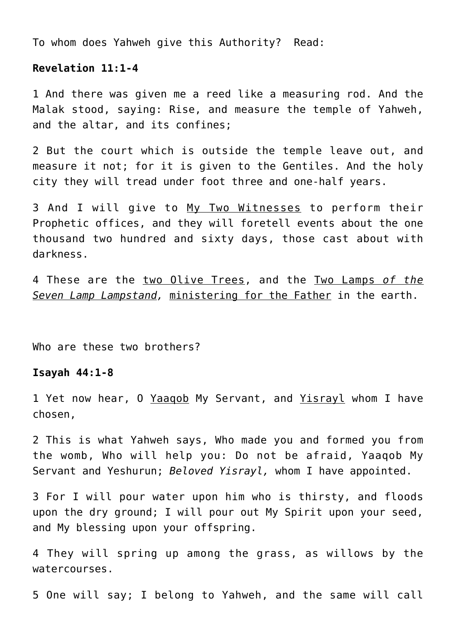To whom does Yahweh give this Authority? Read:

#### **Revelation 11:1-4**

1 And there was given me a reed like a measuring rod. And the Malak stood, saying: Rise, and measure the temple of Yahweh, and the altar, and its confines;

2 But the court which is outside the temple leave out, and measure it not; for it is given to the Gentiles. And the holy city they will tread under foot three and one-half years.

3 And I will give to My Two Witnesses to perform their Prophetic offices, and they will foretell events about the one thousand two hundred and sixty days, those cast about with darkness.

4 These are the two Olive Trees, and the Two Lamps *of the Seven Lamp Lampstand,* ministering for the Father in the earth.

Who are these two brothers?

## **Isayah 44:1-8**

1 Yet now hear, O Yaaqob My Servant, and Yisrayl whom I have chosen,

2 This is what Yahweh says, Who made you and formed you from the womb, Who will help you: Do not be afraid, Yaaqob My Servant and Yeshurun; *Beloved Yisrayl,* whom I have appointed.

3 For I will pour water upon him who is thirsty, and floods upon the dry ground; I will pour out My Spirit upon your seed, and My blessing upon your offspring.

4 They will spring up among the grass, as willows by the watercourses.

5 One will say; I belong to Yahweh, and the same will call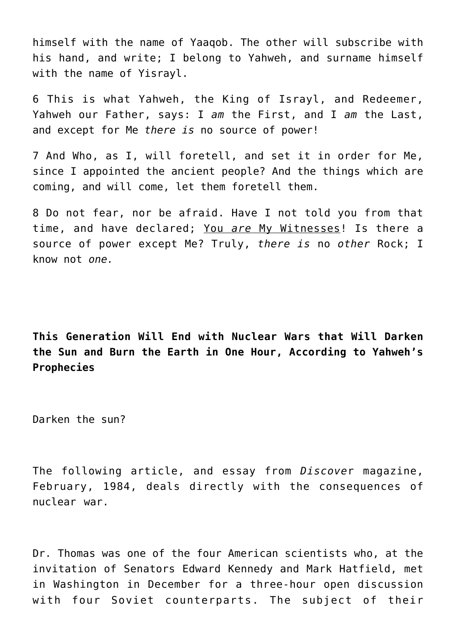himself with the name of Yaaqob. The other will subscribe with his hand, and write; I belong to Yahweh, and surname himself with the name of Yisrayl.

6 This is what Yahweh, the King of Israyl, and Redeemer, Yahweh our Father, says: I *am* the First, and I *am* the Last, and except for Me *there is* no source of power!

7 And Who, as I, will foretell, and set it in order for Me, since I appointed the ancient people? And the things which are coming, and will come, let them foretell them.

8 Do not fear, nor be afraid. Have I not told you from that time, and have declared; You *are* My Witnesses! Is there a source of power except Me? Truly, *there is* no *other* Rock; I know not *one.*

**This Generation Will End with Nuclear Wars that Will Darken the Sun and Burn the Earth in One Hour, According to Yahweh's Prophecies**

Darken the sun?

The following article, and essay from *Discove*r magazine, February, 1984, deals directly with the consequences of nuclear war.

Dr. Thomas was one of the four American scientists who, at the invitation of Senators Edward Kennedy and Mark Hatfield, met in Washington in December for a three-hour open discussion with four Soviet counterparts. The subject of their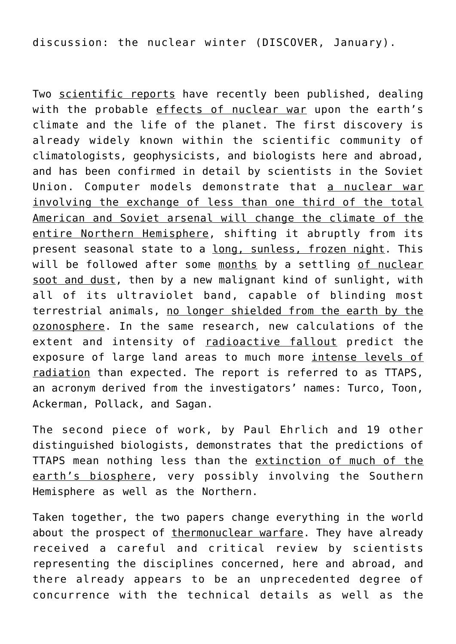discussion: the nuclear winter (DISCOVER, January).

Two scientific reports have recently been published, dealing with the probable effects of nuclear war upon the earth's climate and the life of the planet. The first discovery is already widely known within the scientific community of climatologists, geophysicists, and biologists here and abroad, and has been confirmed in detail by scientists in the Soviet Union. Computer models demonstrate that a nuclear war involving the exchange of less than one third of the total American and Soviet arsenal will change the climate of the entire Northern Hemisphere, shifting it abruptly from its present seasonal state to a long, sunless, frozen night. This will be followed after some months by a settling of nuclear soot and dust, then by a new malignant kind of sunlight, with all of its ultraviolet band, capable of blinding most terrestrial animals, no longer shielded from the earth by the ozonosphere. In the same research, new calculations of the extent and intensity of radioactive fallout predict the exposure of large land areas to much more intense levels of radiation than expected. The report is referred to as TTAPS, an acronym derived from the investigators' names: Turco, Toon, Ackerman, Pollack, and Sagan.

The second piece of work, by Paul Ehrlich and 19 other distinguished biologists, demonstrates that the predictions of TTAPS mean nothing less than the extinction of much of the earth's biosphere, very possibly involving the Southern Hemisphere as well as the Northern.

Taken together, the two papers change everything in the world about the prospect of thermonuclear warfare. They have already received a careful and critical review by scientists representing the disciplines concerned, here and abroad, and there already appears to be an unprecedented degree of concurrence with the technical details as well as the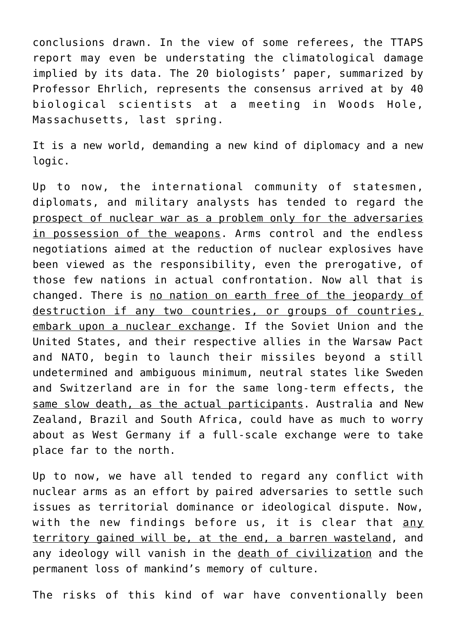conclusions drawn. In the view of some referees, the TTAPS report may even be understating the climatological damage implied by its data. The 20 biologists' paper, summarized by Professor Ehrlich, represents the consensus arrived at by 40 biological scientists at a meeting in Woods Hole, Massachusetts, last spring.

It is a new world, demanding a new kind of diplomacy and a new logic.

Up to now, the international community of statesmen, diplomats, and military analysts has tended to regard the prospect of nuclear war as a problem only for the adversaries in possession of the weapons. Arms control and the endless negotiations aimed at the reduction of nuclear explosives have been viewed as the responsibility, even the prerogative, of those few nations in actual confrontation. Now all that is changed. There is no nation on earth free of the jeopardy of destruction if any two countries, or groups of countries, embark upon a nuclear exchange. If the Soviet Union and the United States, and their respective allies in the Warsaw Pact and NATO, begin to launch their missiles beyond a still undetermined and ambiguous minimum, neutral states like Sweden and Switzerland are in for the same long-term effects, the same slow death, as the actual participants. Australia and New Zealand, Brazil and South Africa, could have as much to worry about as West Germany if a full-scale exchange were to take place far to the north.

Up to now, we have all tended to regard any conflict with nuclear arms as an effort by paired adversaries to settle such issues as territorial dominance or ideological dispute. Now, with the new findings before us, it is clear that any territory gained will be, at the end, a barren wasteland, and any ideology will vanish in the death of civilization and the permanent loss of mankind's memory of culture.

The risks of this kind of war have conventionally been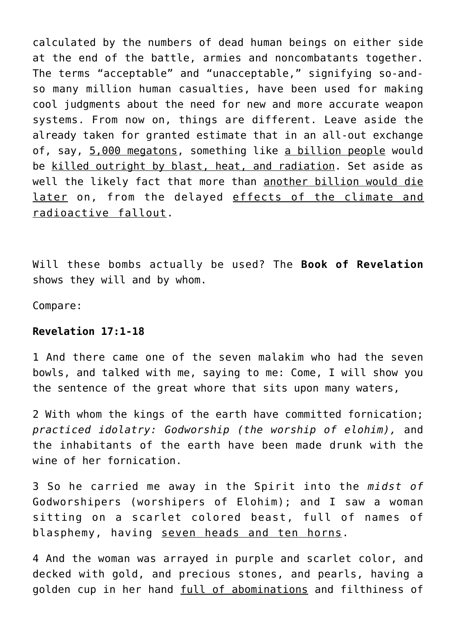calculated by the numbers of dead human beings on either side at the end of the battle, armies and noncombatants together. The terms "acceptable" and "unacceptable," signifying so-andso many million human casualties, have been used for making cool judgments about the need for new and more accurate weapon systems. From now on, things are different. Leave aside the already taken for granted estimate that in an all-out exchange of, say, 5,000 megatons, something like a billion people would be killed outright by blast, heat, and radiation. Set aside as well the likely fact that more than another billion would die later on, from the delayed effects of the climate and radioactive fallout.

Will these bombs actually be used? The **Book of Revelation** shows they will and by whom.

Compare:

# **Revelation 17:1-18**

1 And there came one of the seven malakim who had the seven bowls, and talked with me, saying to me: Come, I will show you the sentence of the great whore that sits upon many waters,

2 With whom the kings of the earth have committed fornication; *practiced idolatry: Godworship (the worship of elohim),* and the inhabitants of the earth have been made drunk with the wine of her fornication.

3 So he carried me away in the Spirit into the *midst of* Godworshipers (worshipers of Elohim); and I saw a woman sitting on a scarlet colored beast, full of names of blasphemy, having seven heads and ten horns.

4 And the woman was arrayed in purple and scarlet color, and decked with gold, and precious stones, and pearls, having a golden cup in her hand full of abominations and filthiness of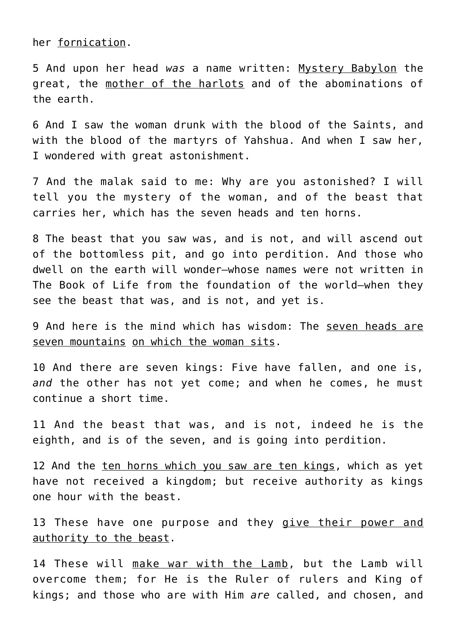her fornication.

5 And upon her head *was* a name written: Mystery Babylon the great, the mother of the harlots and of the abominations of the earth.

6 And I saw the woman drunk with the blood of the Saints, and with the blood of the martyrs of Yahshua. And when I saw her, I wondered with great astonishment.

7 And the malak said to me: Why are you astonished? I will tell you the mystery of the woman, and of the beast that carries her, which has the seven heads and ten horns.

8 The beast that you saw was, and is not, and will ascend out of the bottomless pit, and go into perdition. And those who dwell on the earth will wonder—whose names were not written in The Book of Life from the foundation of the world—when they see the beast that was, and is not, and yet is.

9 And here is the mind which has wisdom: The seven heads are seven mountains on which the woman sits.

10 And there are seven kings: Five have fallen, and one is, *and* the other has not yet come; and when he comes, he must continue a short time.

11 And the beast that was, and is not, indeed he is the eighth, and is of the seven, and is going into perdition.

12 And the ten horns which you saw are ten kings, which as yet have not received a kingdom; but receive authority as kings one hour with the beast.

13 These have one purpose and they give their power and authority to the beast.

14 These will make war with the Lamb, but the Lamb will overcome them; for He is the Ruler of rulers and King of kings; and those who are with Him *are* called, and chosen, and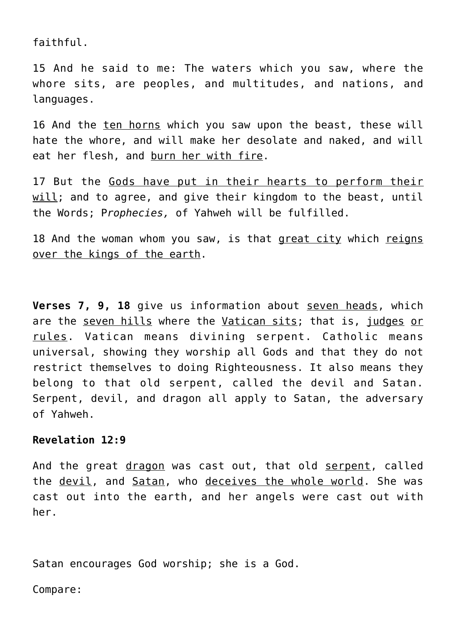faithful.

15 And he said to me: The waters which you saw, where the whore sits, are peoples, and multitudes, and nations, and languages.

16 And the ten horns which you saw upon the beast, these will hate the whore, and will make her desolate and naked, and will eat her flesh, and burn her with fire.

17 But the Gods have put in their hearts to perform their will; and to agree, and give their kingdom to the beast, until the Words; P*rophecies,* of Yahweh will be fulfilled.

18 And the woman whom you saw, is that great city which reigns over the kings of the earth.

**Verses 7, 9, 18** give us information about seven heads, which are the seven hills where the Vatican sits; that is, judges or rules. Vatican means divining serpent. Catholic means universal, showing they worship all Gods and that they do not restrict themselves to doing Righteousness. It also means they belong to that old serpent, called the devil and Satan. Serpent, devil, and dragon all apply to Satan, the adversary of Yahweh.

# **Revelation 12:9**

And the great dragon was cast out, that old serpent, called the devil, and Satan, who deceives the whole world. She was cast out into the earth, and her angels were cast out with her.

Satan encourages God worship; she is a God.

Compare: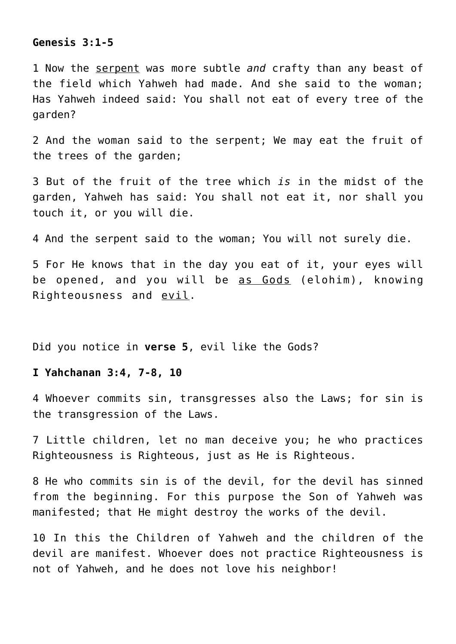#### **Genesis 3:1-5**

1 Now the serpent was more subtle *and* crafty than any beast of the field which Yahweh had made. And she said to the woman; Has Yahweh indeed said: You shall not eat of every tree of the garden?

2 And the woman said to the serpent; We may eat the fruit of the trees of the garden;

3 But of the fruit of the tree which *is* in the midst of the garden, Yahweh has said: You shall not eat it, nor shall you touch it, or you will die.

4 And the serpent said to the woman; You will not surely die.

5 For He knows that in the day you eat of it, your eyes will be opened, and you will be as Gods (elohim), knowing Righteousness and evil.

Did you notice in **verse 5**, evil like the Gods?

## **I Yahchanan 3:4, 7-8, 10**

4 Whoever commits sin, transgresses also the Laws; for sin is the transgression of the Laws.

7 Little children, let no man deceive you; he who practices Righteousness is Righteous, just as He is Righteous.

8 He who commits sin is of the devil, for the devil has sinned from the beginning. For this purpose the Son of Yahweh was manifested; that He might destroy the works of the devil.

10 In this the Children of Yahweh and the children of the devil are manifest. Whoever does not practice Righteousness is not of Yahweh, and he does not love his neighbor!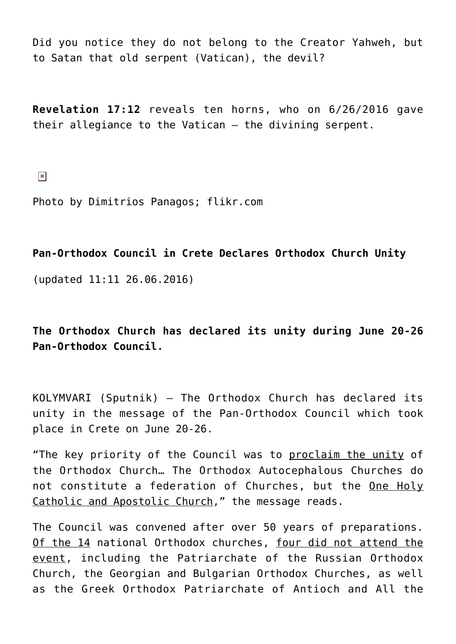Did you notice they do not belong to the Creator Yahweh, but to Satan that old serpent (Vatican), the devil?

**Revelation 17:12** reveals ten horns, who on 6/26/2016 gave their allegiance to the Vatican – the divining serpent.

 $\pmb{\times}$ 

Photo by Dimitrios Panagos; flikr.com

**Pan-Orthodox Council in Crete Declares Orthodox Church Unity**

(updated 11:11 26.06.2016)

**The Orthodox Church has declared its unity during June 20-26 Pan-Orthodox Council.**

KOLYMVARI (Sputnik) — The Orthodox Church has declared its unity in the message of the Pan-Orthodox Council which took place in Crete on June 20-26.

"The key priority of the Council was to proclaim the unity of the Orthodox Church… The Orthodox Autocephalous Churches do not constitute a federation of Churches, but the One Holy Catholic and Apostolic Church," the message reads.

The Council was convened after over 50 years of preparations. Of the 14 national Orthodox churches, four did not attend the event, including the Patriarchate of the Russian Orthodox Church, the Georgian and Bulgarian Orthodox Churches, as well as the Greek Orthodox Patriarchate of Antioch and All the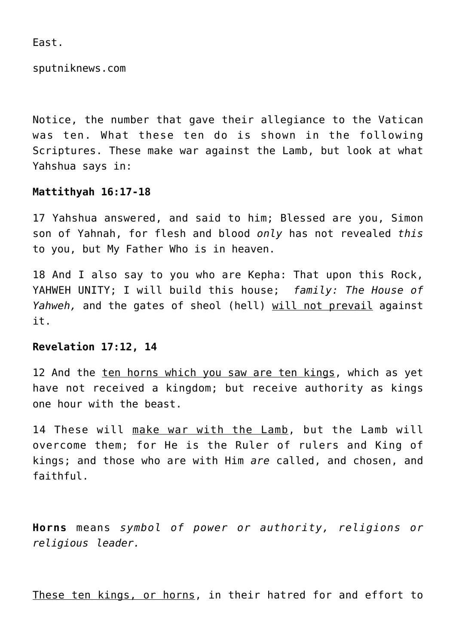East.

sputniknews.com

Notice, the number that gave their allegiance to the Vatican was ten. What these ten do is shown in the following Scriptures. These make war against the Lamb, but look at what Yahshua says in:

## **Mattithyah 16:17-18**

17 Yahshua answered, and said to him; Blessed are you, Simon son of Yahnah, for flesh and blood *only* has not revealed *this* to you, but My Father Who is in heaven.

18 And I also say to you who are Kepha: That upon this Rock, YAHWEH UNITY; I will build this house; *family: The House of Yahweh,* and the gates of sheol (hell) will not prevail against it.

#### **Revelation 17:12, 14**

12 And the ten horns which you saw are ten kings, which as yet have not received a kingdom; but receive authority as kings one hour with the beast.

14 These will make war with the Lamb, but the Lamb will overcome them; for He is the Ruler of rulers and King of kings; and those who are with Him *are* called, and chosen, and faithful.

**Horns** means *symbol of power or authority, religions or religious leader.*

These ten kings, or horns, in their hatred for and effort to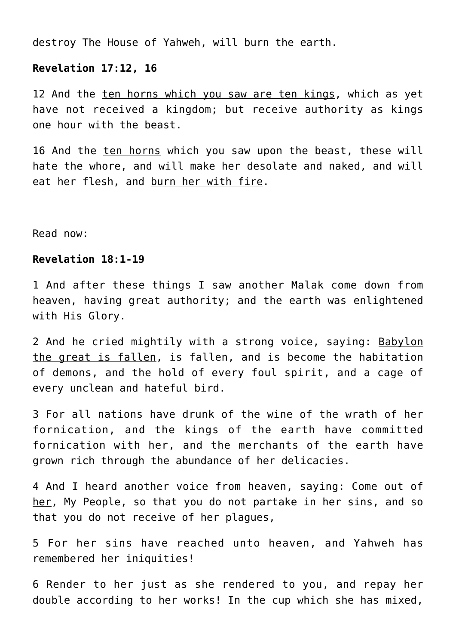destroy The House of Yahweh, will burn the earth.

#### **Revelation 17:12, 16**

12 And the ten horns which you saw are ten kings, which as yet have not received a kingdom; but receive authority as kings one hour with the beast.

16 And the ten horns which you saw upon the beast, these will hate the whore, and will make her desolate and naked, and will eat her flesh, and burn her with fire.

Read now:

# **Revelation 18:1-19**

1 And after these things I saw another Malak come down from heaven, having great authority; and the earth was enlightened with His Glory.

2 And he cried mightily with a strong voice, saying: Babylon the great is fallen, is fallen, and is become the habitation of demons, and the hold of every foul spirit, and a cage of every unclean and hateful bird.

3 For all nations have drunk of the wine of the wrath of her fornication, and the kings of the earth have committed fornication with her, and the merchants of the earth have grown rich through the abundance of her delicacies.

4 And I heard another voice from heaven, saying: Come out of her, My People, so that you do not partake in her sins, and so that you do not receive of her plagues,

5 For her sins have reached unto heaven, and Yahweh has remembered her iniquities!

6 Render to her just as she rendered to you, and repay her double according to her works! In the cup which she has mixed,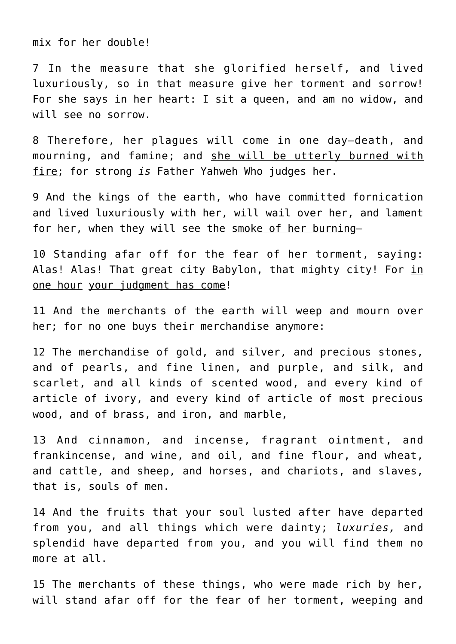mix for her double!

7 In the measure that she glorified herself, and lived luxuriously, so in that measure give her torment and sorrow! For she says in her heart: I sit a queen, and am no widow, and will see no sorrow.

8 Therefore, her plagues will come in one day—death, and mourning, and famine; and she will be utterly burned with fire; for strong *is* Father Yahweh Who judges her.

9 And the kings of the earth, who have committed fornication and lived luxuriously with her, will wail over her, and lament for her, when they will see the smoke of her burning—

10 Standing afar off for the fear of her torment, saying: Alas! Alas! That great city Babylon, that mighty city! For in one hour your judgment has come!

11 And the merchants of the earth will weep and mourn over her; for no one buys their merchandise anymore:

12 The merchandise of gold, and silver, and precious stones, and of pearls, and fine linen, and purple, and silk, and scarlet, and all kinds of scented wood, and every kind of article of ivory, and every kind of article of most precious wood, and of brass, and iron, and marble,

13 And cinnamon, and incense, fragrant ointment, and frankincense, and wine, and oil, and fine flour, and wheat, and cattle, and sheep, and horses, and chariots, and slaves, that is, souls of men.

14 And the fruits that your soul lusted after have departed from you, and all things which were dainty; *luxuries,* and splendid have departed from you, and you will find them no more at all.

15 The merchants of these things, who were made rich by her, will stand afar off for the fear of her torment, weeping and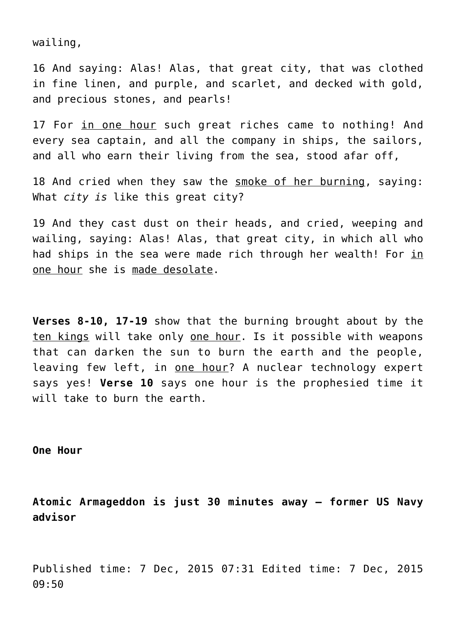wailing,

16 And saying: Alas! Alas, that great city, that was clothed in fine linen, and purple, and scarlet, and decked with gold, and precious stones, and pearls!

17 For in one hour such great riches came to nothing! And every sea captain, and all the company in ships, the sailors, and all who earn their living from the sea, stood afar off,

18 And cried when they saw the smoke of her burning, saying: What *city is* like this great city?

19 And they cast dust on their heads, and cried, weeping and wailing, saying: Alas! Alas, that great city, in which all who had ships in the sea were made rich through her wealth! For in one hour she is made desolate.

**Verses 8-10, 17-19** show that the burning brought about by the ten kings will take only one hour. Is it possible with weapons that can darken the sun to burn the earth and the people, leaving few left, in one hour? A nuclear technology expert says yes! **Verse 10** says one hour is the prophesied time it will take to burn the earth.

**One Hour**

**Atomic Armageddon is just 30 minutes away – former US Navy advisor**

Published time: 7 Dec, 2015 07:31 Edited time: 7 Dec, 2015 09:50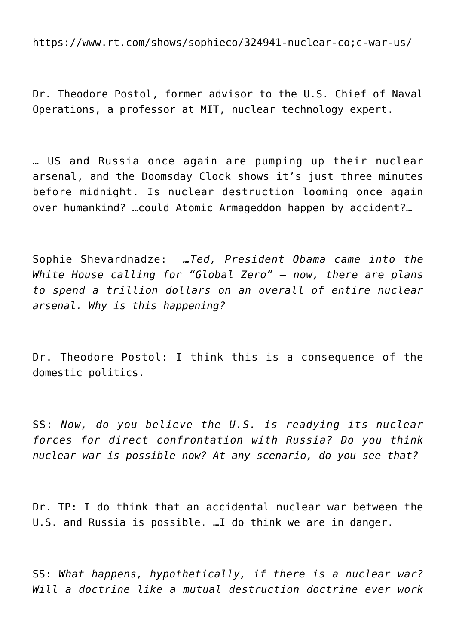https://www.rt.com/shows/sophieco/324941-nuclear-co;c-war-us/

Dr. Theodore Postol, former advisor to the U.S. Chief of Naval Operations, a professor at MIT, nuclear technology expert.

… US and Russia once again are pumping up their nuclear arsenal, and the Doomsday Clock shows it's just three minutes before midnight. Is nuclear destruction looming once again over humankind? …could Atomic Armageddon happen by accident?…

Sophie Shevardnadze: *…Ted, President Obama came into the White House calling for "Global Zero" – now, there are plans to spend a trillion dollars on an overall of entire nuclear arsenal. Why is this happening?*

Dr. Theodore Postol: I think this is a consequence of the domestic politics.

SS: *Now, do you believe the U.S. is readying its nuclear forces for direct confrontation with Russia? Do you think nuclear war is possible now? At any scenario, do you see that?*

Dr. TP: I do think that an accidental nuclear war between the U.S. and Russia is possible. …I do think we are in danger.

SS: *What happens, hypothetically, if there is a nuclear war? Will a doctrine like a mutual destruction doctrine ever work*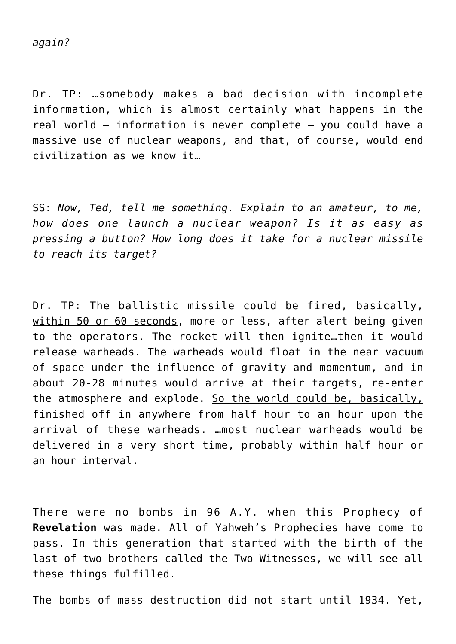Dr. TP: …somebody makes a bad decision with incomplete information, which is almost certainly what happens in the real world – information is never complete – you could have a massive use of nuclear weapons, and that, of course, would end civilization as we know it…

SS: *Now, Ted, tell me something. Explain to an amateur, to me, how does one launch a nuclear weapon? Is it as easy as pressing a button? How long does it take for a nuclear missile to reach its target?*

Dr. TP: The ballistic missile could be fired, basically, within 50 or 60 seconds, more or less, after alert being given to the operators. The rocket will then ignite…then it would release warheads. The warheads would float in the near vacuum of space under the influence of gravity and momentum, and in about 20-28 minutes would arrive at their targets, re-enter the atmosphere and explode. So the world could be, basically, finished off in anywhere from half hour to an hour upon the arrival of these warheads. …most nuclear warheads would be delivered in a very short time, probably within half hour or an hour interval.

There were no bombs in 96 A.Y. when this Prophecy of **Revelation** was made. All of Yahweh's Prophecies have come to pass. In this generation that started with the birth of the last of two brothers called the Two Witnesses, we will see all these things fulfilled.

The bombs of mass destruction did not start until 1934. Yet,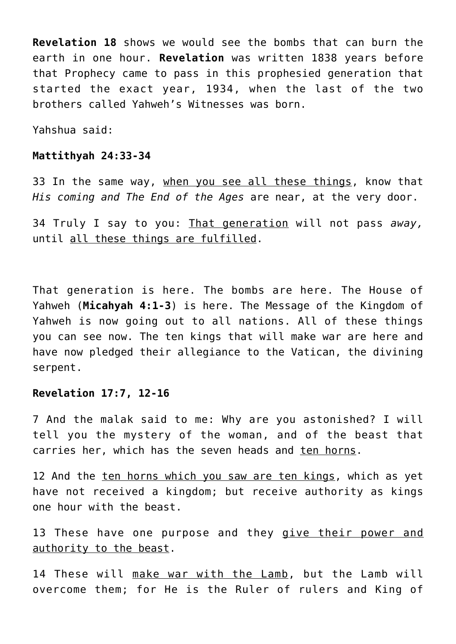**Revelation 18** shows we would see the bombs that can burn the earth in one hour. **Revelation** was written 1838 years before that Prophecy came to pass in this prophesied generation that started the exact year, 1934, when the last of the two brothers called Yahweh's Witnesses was born.

Yahshua said:

#### **Mattithyah 24:33-34**

33 In the same way, when you see all these things, know that *His coming and The End of the Ages* are near, at the very door.

34 Truly I say to you: That generation will not pass *away,* until all these things are fulfilled.

That generation is here. The bombs are here. The House of Yahweh (**Micahyah 4:1-3**) is here. The Message of the Kingdom of Yahweh is now going out to all nations. All of these things you can see now. The ten kings that will make war are here and have now pledged their allegiance to the Vatican, the divining serpent.

#### **Revelation 17:7, 12-16**

7 And the malak said to me: Why are you astonished? I will tell you the mystery of the woman, and of the beast that carries her, which has the seven heads and ten horns.

12 And the ten horns which you saw are ten kings, which as yet have not received a kingdom; but receive authority as kings one hour with the beast.

13 These have one purpose and they give their power and authority to the beast.

14 These will make war with the Lamb, but the Lamb will overcome them; for He is the Ruler of rulers and King of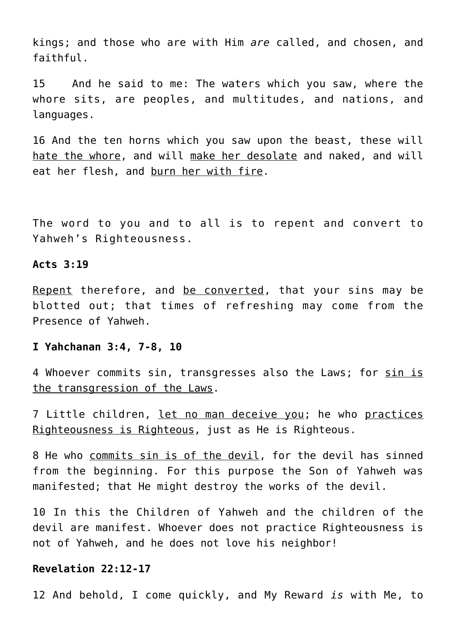kings; and those who are with Him *are* called, and chosen, and faithful.

15 And he said to me: The waters which you saw, where the whore sits, are peoples, and multitudes, and nations, and languages.

16 And the ten horns which you saw upon the beast, these will hate the whore, and will make her desolate and naked, and will eat her flesh, and burn her with fire.

The word to you and to all is to repent and convert to Yahweh's Righteousness.

#### **Acts 3:19**

Repent therefore, and be converted, that your sins may be blotted out; that times of refreshing may come from the Presence of Yahweh.

#### **I Yahchanan 3:4, 7-8, 10**

4 Whoever commits sin, transgresses also the Laws; for sin is the transgression of the Laws.

7 Little children, let no man deceive you; he who practices Righteousness is Righteous, just as He is Righteous.

8 He who commits sin is of the devil, for the devil has sinned from the beginning. For this purpose the Son of Yahweh was manifested; that He might destroy the works of the devil.

10 In this the Children of Yahweh and the children of the devil are manifest. Whoever does not practice Righteousness is not of Yahweh, and he does not love his neighbor!

# **Revelation 22:12-17**

12 And behold, I come quickly, and My Reward *is* with Me, to